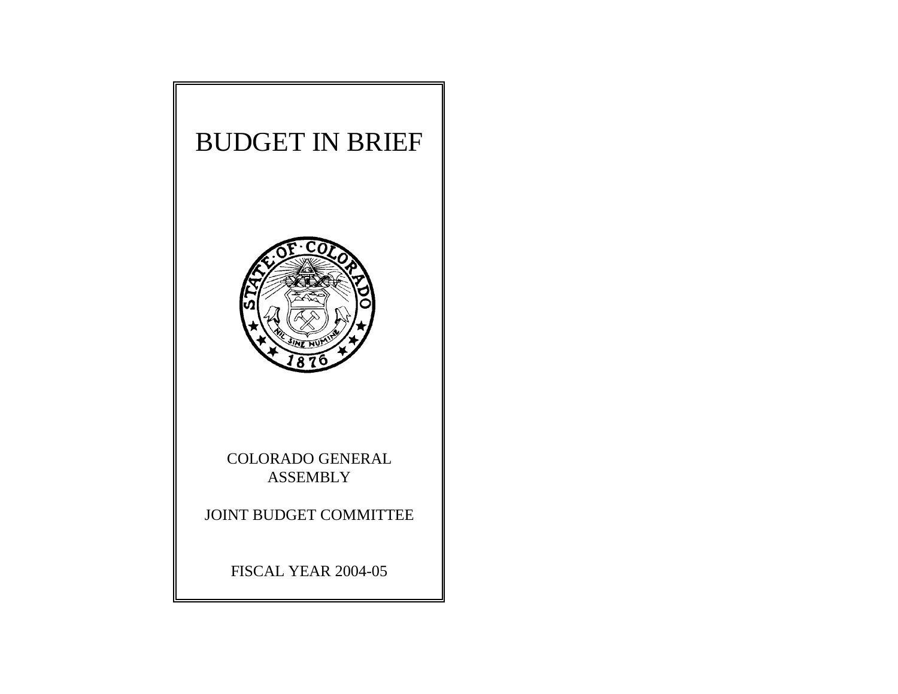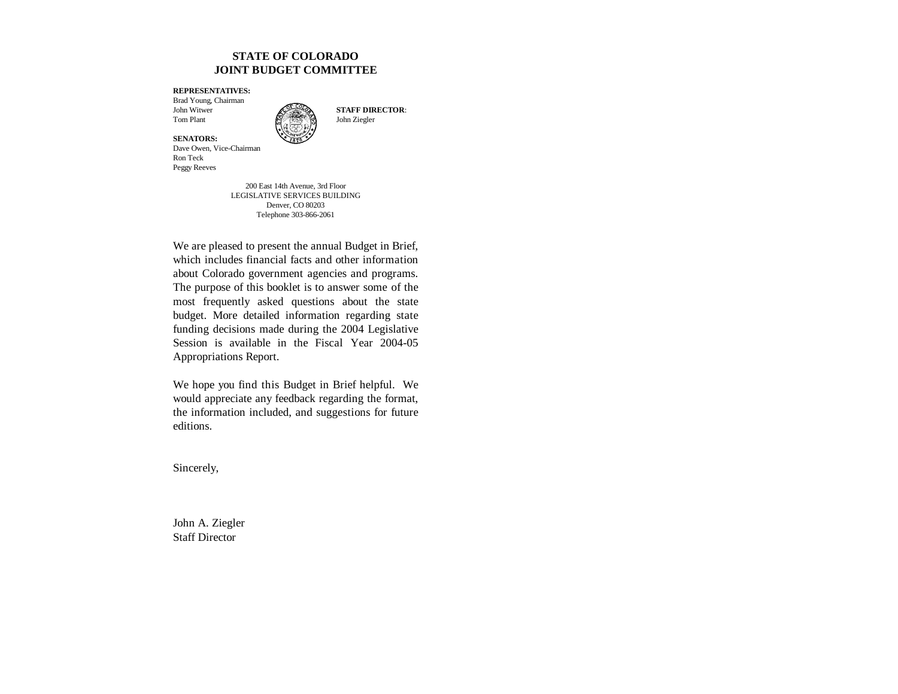#### **STATE OF COLORADO JOINT BUDGET COMMITTEE**

**REPRESENTATIVES:**

Brad Young, Chairman John WitwerTom Plant  $\mathbb{Z}$  John Ziegler



**SENATORS:** Dave Owen, Vice-Chairman Ron TeckPeggy Reeves

> 200 East 14th Avenue, 3rd Floor LEGISLATIVE SERVICES BUILDING Denver, CO 80203 Telephone 303-866-2061

We are pleased to present the annual Budget in Brief, which includes financial facts and other information about Colorado government agencies and programs. The purpose of this booklet is to answer some of the most frequently asked questions about the state budget. More detailed information regarding state funding decisions made during the 2004 Legislative Session is available in the Fiscal Year 2004-05 Appropriations Report.

We hope you find this Budget in Brief helpful. We would appreciate any feedback regarding the format, the information included, and suggestions for future editions.

Sincerely,

John A. Ziegler Staff Director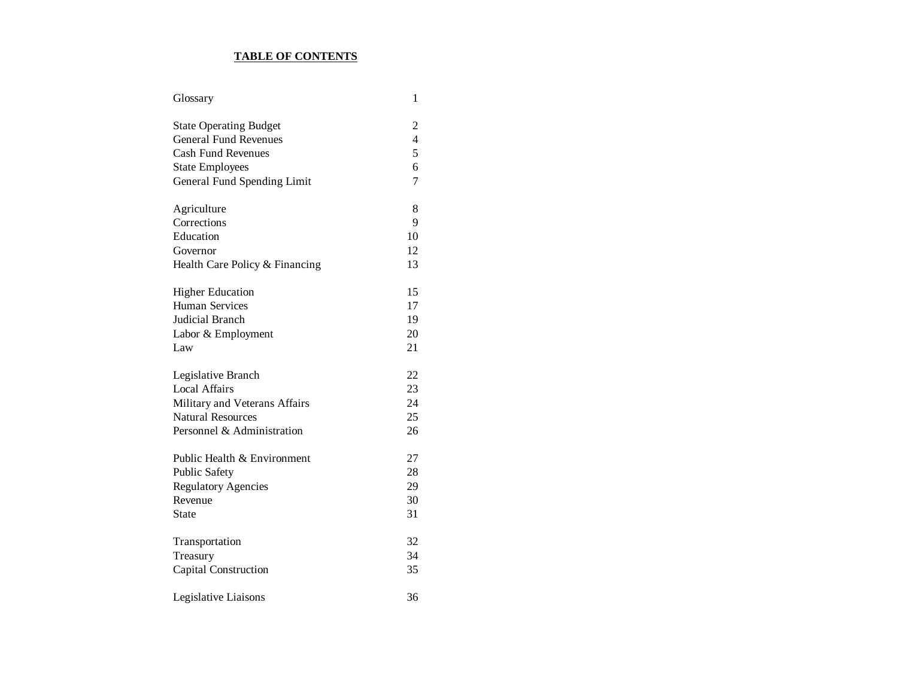#### **TABLE OF CONTENTS**

| Glossary                       | 1              |
|--------------------------------|----------------|
| <b>State Operating Budget</b>  | 2              |
| <b>General Fund Revenues</b>   | $\overline{4}$ |
| <b>Cash Fund Revenues</b>      | 5              |
| <b>State Employees</b>         | 6              |
| General Fund Spending Limit    | 7              |
| Agriculture                    | 8              |
| Corrections                    | 9              |
| Education                      | 10             |
| Governor                       | 12             |
| Health Care Policy & Financing | 13             |
| <b>Higher Education</b>        | 15             |
| <b>Human Services</b>          | 17             |
| Judicial Branch                | 19             |
| Labor & Employment             | 20             |
| Law                            | 21             |
| Legislative Branch             | 22             |
| <b>Local Affairs</b>           | 23             |
| Military and Veterans Affairs  | 24             |
| <b>Natural Resources</b>       | 25             |
| Personnel & Administration     | 26             |
| Public Health & Environment    | 27             |
| <b>Public Safety</b>           | 28             |
| <b>Regulatory Agencies</b>     | 29             |
| Revenue                        | 30             |
| <b>State</b>                   | 31             |
| Transportation                 | 32             |
| Treasury                       | 34             |
| Capital Construction           | 35             |
| Legislative Liaisons           | 36             |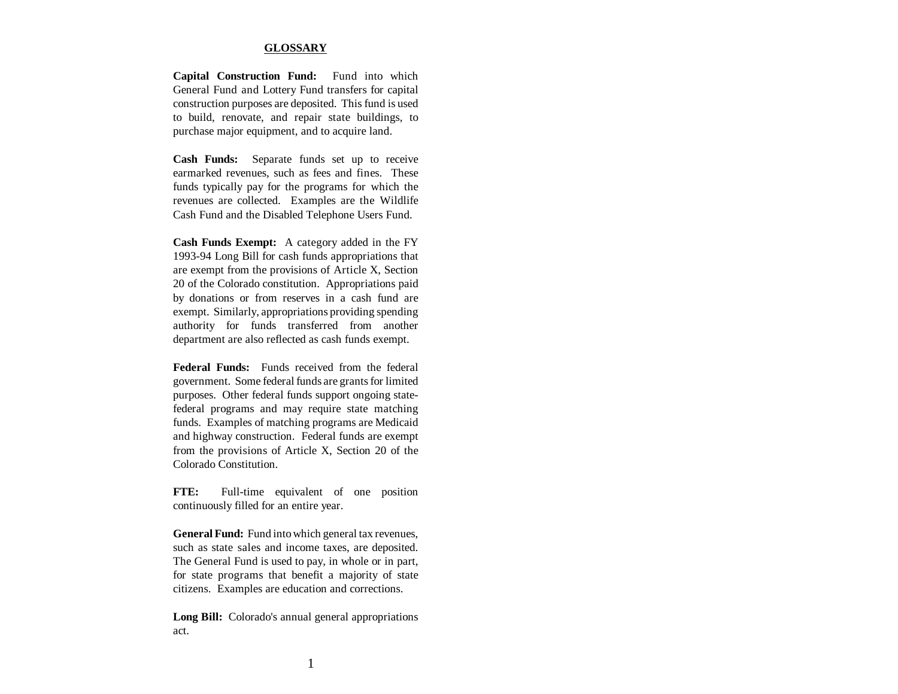#### **GLOSSARY**

**Capital Construction Fund:** Fund into which General Fund and Lottery Fund transfers for capital construction purposes are deposited. This fund is used to build, renovate, and repair state buildings, to purchase major equipment, and to acquire land.

**Cash Funds:** Separate funds set up to receive earmarked revenues, such as fees and fines. These funds typically pay for the programs for which the revenues are collected. Examples are the Wildlife Cash Fund and the Disabled Telephone Users Fund.

**Cash Funds Exempt:** A category added in the FY 1993-94 Long Bill for cash funds appropriations that are exempt from the provisions of Article X, Section 20 of the Colorado constitution. Appropriations paid by donations or from reserves in a cash fund are exempt. Similarly, appropriations providing spending authority for funds transferred from another department are also reflected as cash funds exempt.

**Federal Funds:** Funds received from the federalgovernment. Some federal funds are grants for limited purposes. Other federal funds support ongoing statefederal programs and may require state matching funds. Examples of matching programs are Medicaid and highway construction. Federal funds are exempt from the provisions of Article X, Section 20 of the Colorado Constitution.

**FTE:** Full-time equivalent of one position continuously filled for an entire year.

**General Fund:** Fund into which general tax revenues, such as state sales and income taxes, are deposited. The General Fund is used to pay, in whole or in part, for state programs that benefit a majority of state citizens. Examples are education and corrections.

**Long Bill:** Colorado's annual general appropriations act.

1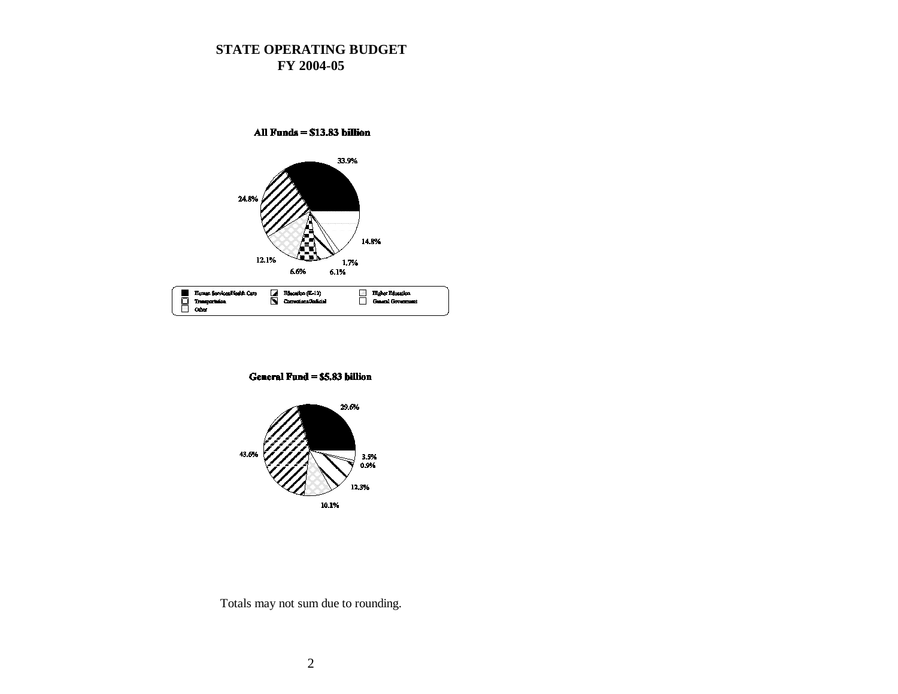# **STATE OPERATING BUDGET FY 2004-05**



General Fund = \$5.83 billion

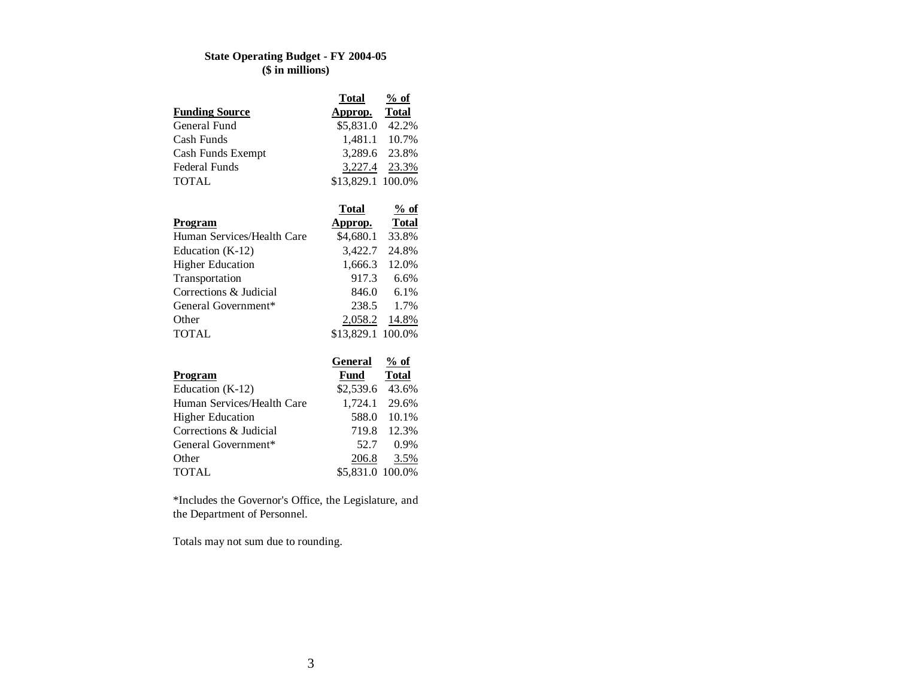# **State Operating Budget - FY 2004-05 (\$ in millions)**

|                       | Total             | $%$ of |
|-----------------------|-------------------|--------|
| <b>Funding Source</b> | Approp. Total     |        |
| General Fund          | \$5,831.0 42.2%   |        |
| Cash Funds            | 1,481.1 10.7%     |        |
| Cash Funds Exempt     | 3,289.6 23.8%     |        |
| Federal Funds         | 3,227.4 23.3%     |        |
| <b>TOTAL</b>          | \$13,829.1 100.0% |        |

|                            | Total             | $%$ of       |
|----------------------------|-------------------|--------------|
| <b>Program</b>             | Approp.           | <b>Total</b> |
| Human Services/Health Care | \$4,680.1         | 33.8%        |
| Education (K-12)           | 3,422.7           | 24.8%        |
| <b>Higher Education</b>    | 1,666.3           | 12.0%        |
| Transportation             | 917.3             | 6.6%         |
| Corrections & Judicial     | 846.0             | 6.1%         |
| General Government*        | 238.5             | 1.7%         |
| Other                      | 2,058.2           | 14.8%        |
| <b>TOTAL</b>               | \$13,829.1 100.0% |              |

|                            | General          | $%$ of       |
|----------------------------|------------------|--------------|
| Program                    | Fund             | <b>Total</b> |
| Education $(K-12)$         | \$2,539.6 43.6%  |              |
| Human Services/Health Care | 1,724.1 29.6%    |              |
| <b>Higher Education</b>    | 588.0            | $10.1\%$     |
| Corrections & Judicial     | 719.8            | 12.3%        |
| General Government*        | 52.7             | 0.9%         |
| Other                      | 206.8            | 3.5%         |
| <b>TOTAL</b>               | \$5,831.0 100.0% |              |

\*Includes the Governor's Office, the Legislature, and the Department of Personnel.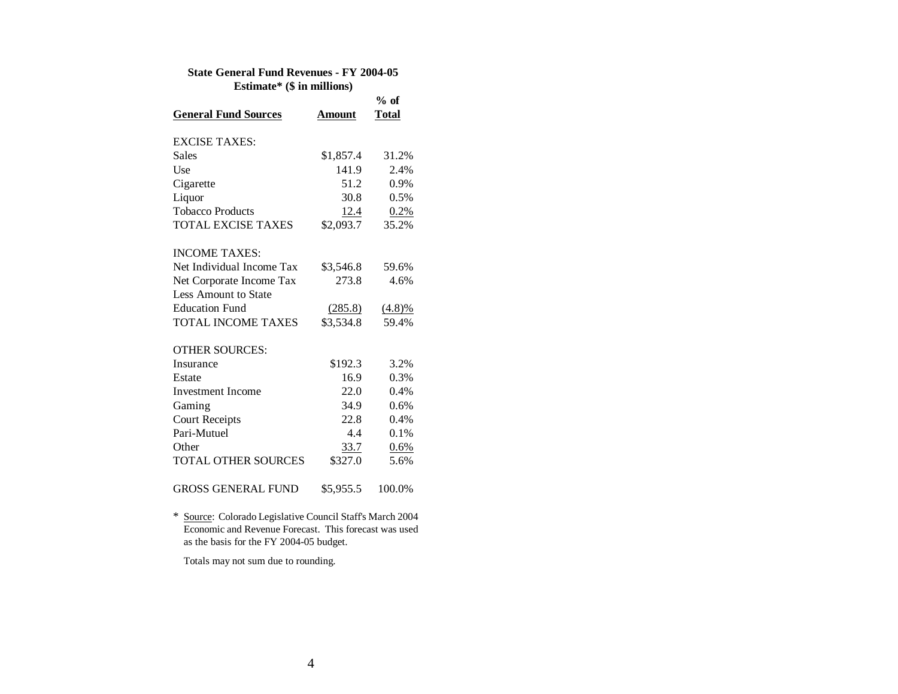#### **State General Fund Revenues - FY 2004-05 Estimate\* (\$ in millions)**

|                             |               | $%$ of       |
|-----------------------------|---------------|--------------|
| <b>General Fund Sources</b> | <b>Amount</b> | <b>Total</b> |
| <b>EXCISE TAXES:</b>        |               |              |
| <b>Sales</b>                | \$1,857.4     | 31.2%        |
| Use                         | 141.9         | 2.4%         |
| Cigarette                   | 51.2          | 0.9%         |
| Liquor                      | 30.8          | 0.5%         |
| <b>Tobacco Products</b>     | 12.4          | 0.2%         |
| <b>TOTAL EXCISE TAXES</b>   | \$2,093.7     | 35.2%        |
| <b>INCOME TAXES:</b>        |               |              |
| Net Individual Income Tax   | \$3,546.8     | 59.6%        |
| Net Corporate Income Tax    | 273.8         | 4.6%         |
| Less Amount to State        |               |              |
| <b>Education Fund</b>       | (285.8)       | (4.8)%       |
| <b>TOTAL INCOME TAXES</b>   | \$3,534.8     | 59.4%        |
| <b>OTHER SOURCES:</b>       |               |              |
| Insurance                   | \$192.3       | 3.2%         |
| Estate                      | 16.9          | 0.3%         |
| Investment Income           | 22.0          | 0.4%         |
| Gaming                      | 34.9          | 0.6%         |
| <b>Court Receipts</b>       | 22.8          | 0.4%         |
| Pari-Mutuel                 | 4.4           | 0.1%         |
| Other                       | 33.7          | 0.6%         |
| <b>TOTAL OTHER SOURCES</b>  | \$327.0       | 5.6%         |
| GROSS GENERAL FUND          | \$5,955.5     | 100.0%       |

\* Source: Colorado Legislative Council Staff's March 2004 Economic and Revenue Forecast. This forecast was used as the basis for the FY 2004-05 budget.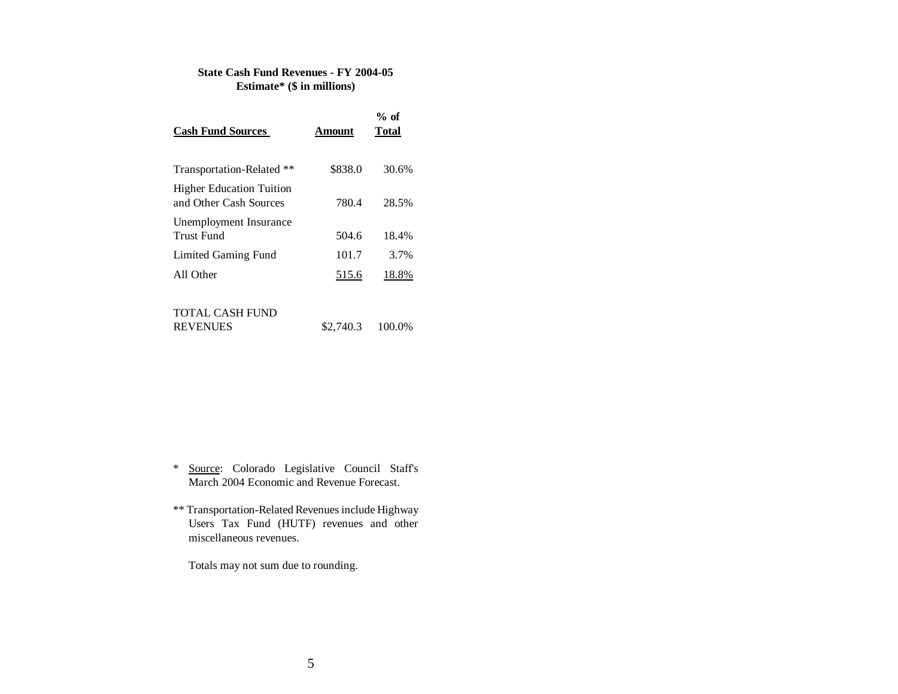#### **State Cash Fund Revenues - FY 2004-05 Estimate\* (\$ in millions)**

| <b>Cash Fund Sources</b>                                  | Amount  | $%$ of<br>Total |
|-----------------------------------------------------------|---------|-----------------|
| Transportation-Related **                                 | \$838.0 | 30.6%           |
| <b>Higher Education Tuition</b><br>and Other Cash Sources | 780.4   | 28.5%           |
| Unemployment Insurance<br>Trust Fund                      | 504.6   | 18.4%           |
| Limited Gaming Fund                                       | 101.7   | 3.7%            |
| All Other                                                 | 515.6   | 18.8%           |
|                                                           |         |                 |

#### TOTAL CASH FUND

- \* Source: Colorado Legislative Council Staff's March 2004 Economic and Revenue Forecast.
- \*\* Transportation-Related Revenues include Highway Users Tax Fund (HUTF) revenues and other miscellaneous revenues.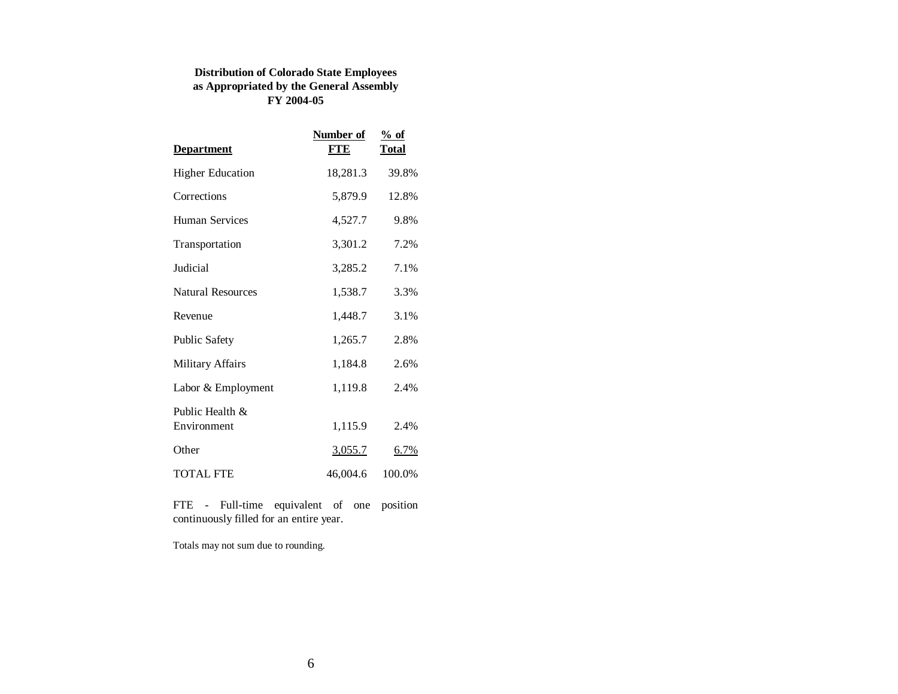# **Distribution of Colorado State Employees as Appropriated by the General Assembly FY 2004-05**

| <b>Department</b>              | Number of<br><b>FTE</b> | $%$ of<br><b>Total</b> |
|--------------------------------|-------------------------|------------------------|
| <b>Higher Education</b>        | 18,281.3                | 39.8%                  |
| Corrections                    | 5,879.9                 | 12.8%                  |
| Human Services                 | 4,527.7                 | 9.8%                   |
| Transportation                 | 3,301.2                 | 7.2%                   |
| Judicial                       | 3,285.2                 | 7.1%                   |
| <b>Natural Resources</b>       | 1,538.7                 | 3.3%                   |
| Revenue                        | 1,448.7                 | 3.1%                   |
| <b>Public Safety</b>           | 1,265.7                 | 2.8%                   |
| <b>Military Affairs</b>        | 1,184.8                 | 2.6%                   |
| Labor & Employment             | 1,119.8                 | 2.4%                   |
| Public Health &<br>Environment | 1,115.9                 | 2.4%                   |
| Other                          | <u>3,055.7</u>          | $6.7\%$                |
| <b>TOTAL FTE</b>               | 46,004.6                | 100.0%                 |

FTE - Full-time equivalent of one position continuously filled for an entire year.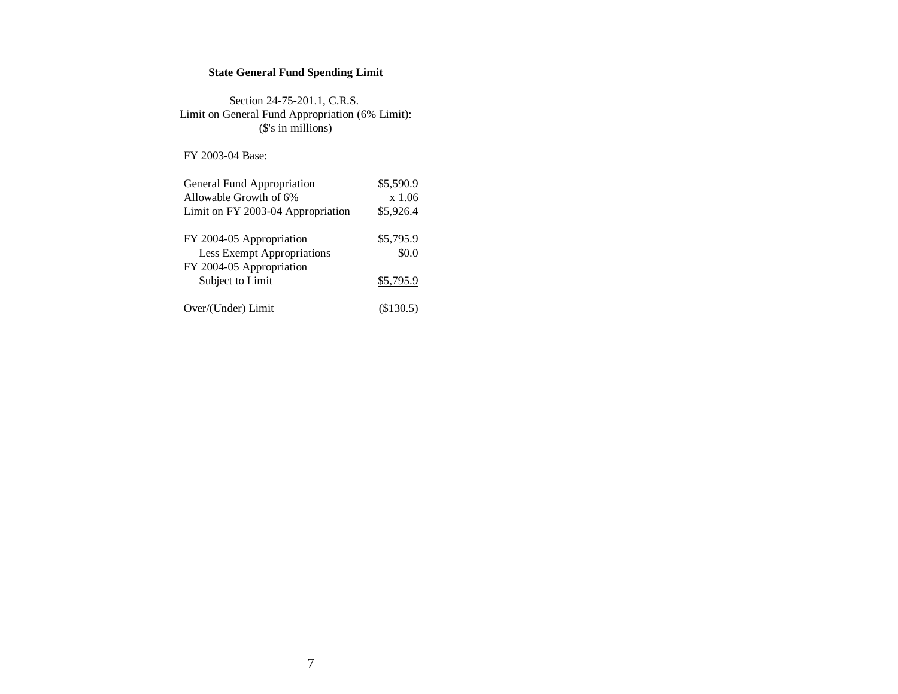# **State General Fund Spending Limit**

Section 24-75-201.1, C.R.S. Limit on General Fund Appropriation (6% Limit): (\$'s in millions)

FY 2003-04 Base:

| General Fund Appropriation        | \$5,590.9 |
|-----------------------------------|-----------|
| Allowable Growth of 6%            | x 1.06    |
| Limit on FY 2003-04 Appropriation | \$5,926.4 |
|                                   |           |
| FY 2004-05 Appropriation          | \$5,795.9 |
| Less Exempt Appropriations        | \$0.0     |
| FY 2004-05 Appropriation          |           |
| Subject to Limit                  | \$5,795.9 |
|                                   |           |
| Over/(Under) Limit                | (S130.5)  |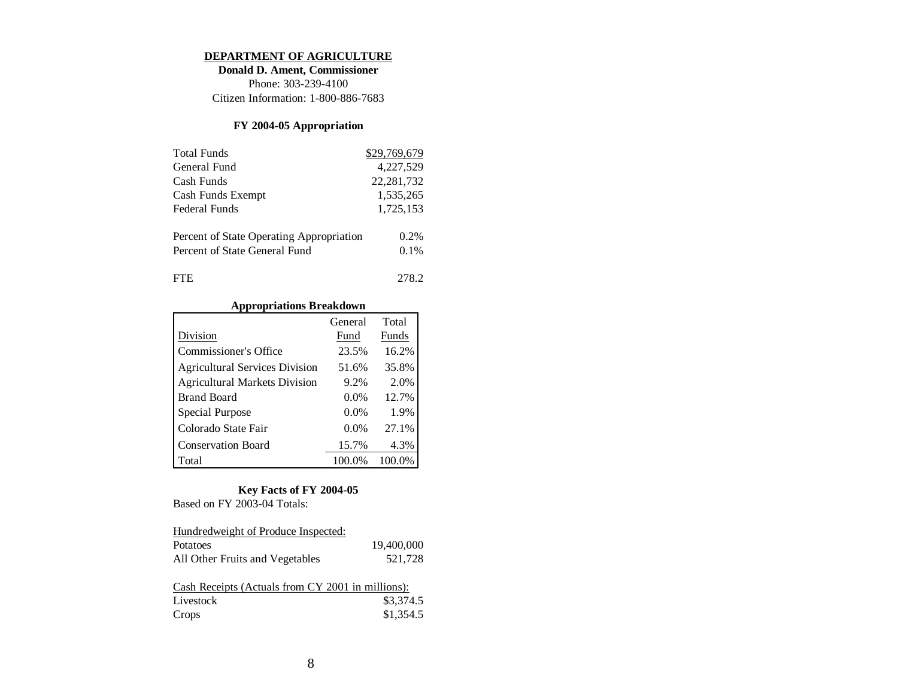#### **DEPARTMENT OF AGRICULTURE**

**Donald D. Ament, Commissioner** Phone: 303-239-4100Citizen Information: 1-800-886-7683

## **FY 2004-05 Appropriation**

| <b>Total Funds</b>                       | \$29,769,679 |
|------------------------------------------|--------------|
| General Fund                             | 4,227,529    |
| Cash Funds                               | 22, 281, 732 |
| Cash Funds Exempt                        | 1,535,265    |
| <b>Federal Funds</b>                     | 1,725,153    |
| Percent of State Operating Appropriation | $0.2\%$      |
| Percent of State General Fund            | 0.1%         |
| <b>FTE</b>                               | 278.2        |

## **Appropriations Breakdown**

|                                       | General | Total  |
|---------------------------------------|---------|--------|
| Division                              | Fund    | Funds  |
| <b>Commissioner's Office</b>          | 23.5%   | 16.2%  |
| <b>Agricultural Services Division</b> | 51.6%   | 35.8%  |
| <b>Agricultural Markets Division</b>  | 9.2%    | 2.0%   |
| <b>Brand Board</b>                    | $0.0\%$ | 12.7%  |
| Special Purpose                       | 0.0%    | 1.9%   |
| Colorado State Fair                   | $0.0\%$ | 27.1%  |
| <b>Conservation Board</b>             | 15.7%   | 4.3%   |
| Total                                 | 100.0%  | 100.0% |

#### **Key Facts of FY 2004-05**

Based on FY 2003-04 Totals:

| Hundredweight of Produce Inspected:                                     |                        |
|-------------------------------------------------------------------------|------------------------|
| Potatoes                                                                | 19,400,000             |
| All Other Fruits and Vegetables                                         | 521,728                |
| Cash Receipts (Actuals from CY 2001 in millions):<br>Livestock<br>Crops | \$3,374.5<br>\$1,354.5 |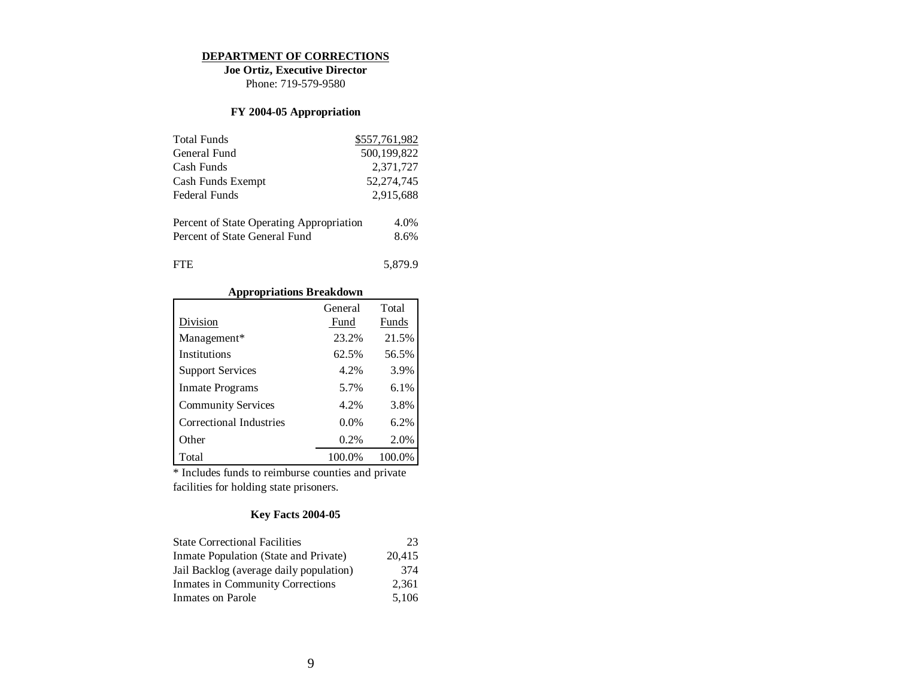#### **DEPARTMENT OF CORRECTIONS**

**Joe Ortiz, Executive Director** Phone: 719-579-9580

## **FY 2004-05 Appropriation**

| <b>Total Funds</b>                       | \$557,761,982 |
|------------------------------------------|---------------|
| General Fund                             | 500,199,822   |
| Cash Funds                               | 2,371,727     |
| Cash Funds Exempt                        | 52,274,745    |
| Federal Funds                            | 2,915,688     |
|                                          |               |
| Percent of State Operating Appropriation | 4.0%          |
| Percent of State General Fund            | 8.6%          |
|                                          |               |
| ľН.                                      | 5.879.9       |

# **Appropriations Breakdown**

|                           | General | Total   |
|---------------------------|---------|---------|
| Division                  | Fund    | Funds   |
| Management*               | 23.2%   | 21.5%   |
| Institutions              | 62.5%   | 56.5%   |
| <b>Support Services</b>   | 4.2%    | 3.9%    |
| Inmate Programs           | 5.7%    | $6.1\%$ |
| <b>Community Services</b> | 4.2%    | 3.8%    |
| Correctional Industries   | $0.0\%$ | 6.2%    |
| Other                     | 0.2%    | 2.0%    |
| Total                     | 100.0%  | 100.0%  |

\* Includes funds to reimburse counties and private facilities for holding state prisoners.

| <b>State Correctional Facilities</b>    | 23     |
|-----------------------------------------|--------|
| Inmate Population (State and Private)   | 20.415 |
| Jail Backlog (average daily population) | 374    |
| Inmates in Community Corrections        | 2.361  |
| Inmates on Parole                       | 5,106  |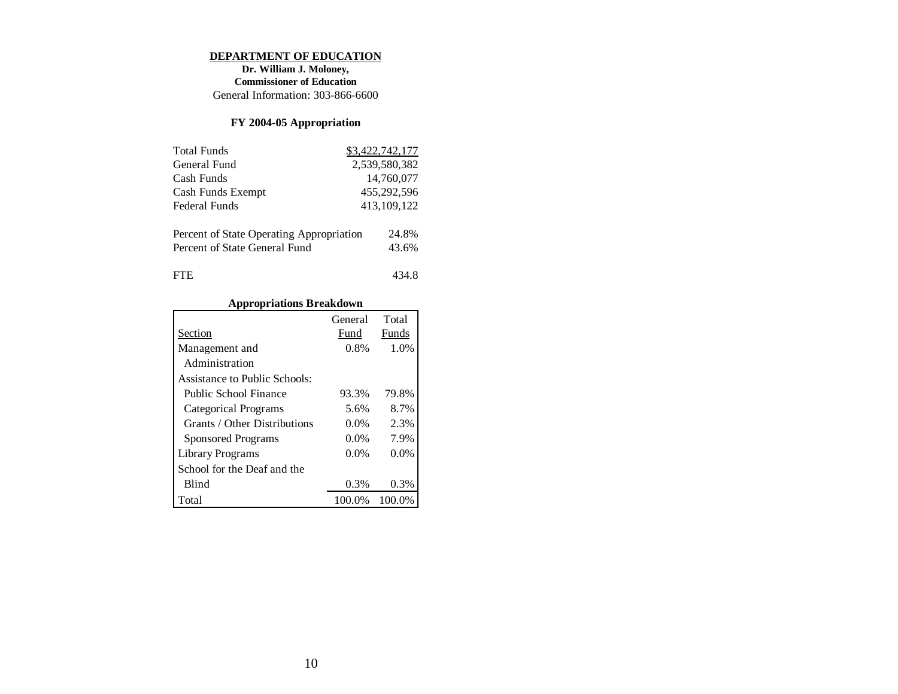#### **DEPARTMENT OF EDUCATION**

**Dr. William J. Moloney, Commissioner of Education** General Information: 303-866-6600

# **FY 2004-05 Appropriation**

| <b>Total Funds</b>                                                        | \$3,422,742,177 |
|---------------------------------------------------------------------------|-----------------|
| General Fund                                                              | 2,539,580,382   |
| Cash Funds                                                                | 14,760,077      |
| Cash Funds Exempt                                                         | 455,292,596     |
| Federal Funds                                                             | 413, 109, 122   |
| Percent of State Operating Appropriation<br>Percent of State General Fund | 24.8%<br>43.6%  |
| <b>FTE</b>                                                                | 434 R           |

# **Appropriations Breakdown**

|                               | General | Total   |
|-------------------------------|---------|---------|
| Section                       | Fund    | Funds   |
| Management and                | 0.8%    | 1.0%    |
| Administration                |         |         |
| Assistance to Public Schools: |         |         |
| Public School Finance         | 93.3%   | 79.8%   |
| Categorical Programs          | 5.6%    | 8.7%    |
| Grants / Other Distributions  | $0.0\%$ | 2.3%    |
| Sponsored Programs            | $0.0\%$ | 7.9%    |
| Library Programs              | $0.0\%$ | $0.0\%$ |
| School for the Deaf and the   |         |         |
| <b>Blind</b>                  | 0.3%    | 0.3%    |
| Total                         | 100.0%  | 100.0%  |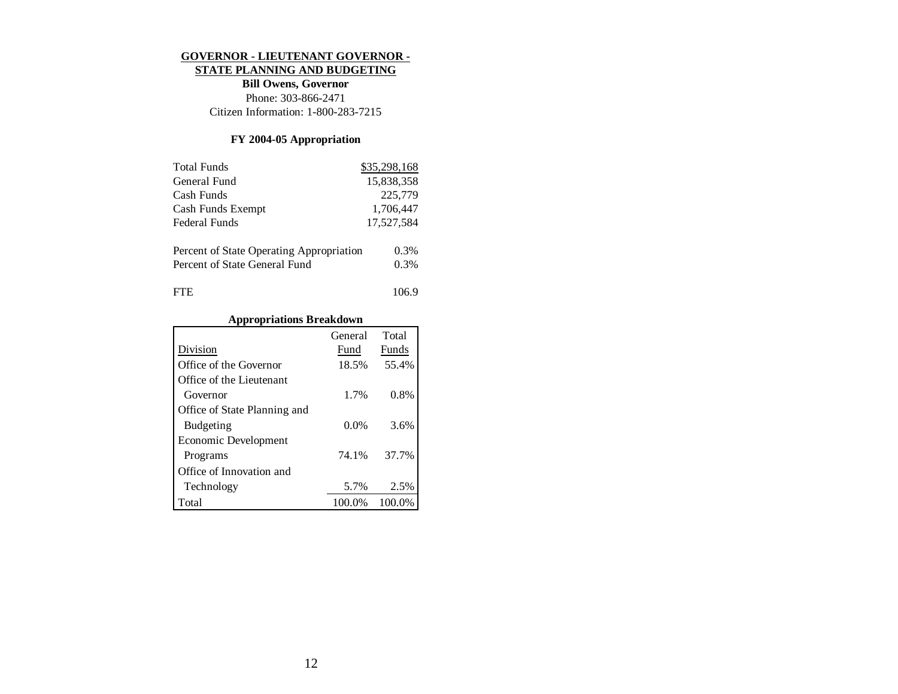#### **GOVERNOR - LIEUTENANT GOVERNOR -**

#### **STATE PLANNING AND BUDGETING**

**Bill Owens, Governor** Phone: 303-866-2471 Citizen Information: 1-800-283-7215

# **FY 2004-05 Appropriation**

| <b>Total Funds</b>                       | \$35,298,168 |
|------------------------------------------|--------------|
| General Fund                             | 15,838,358   |
| Cash Funds                               | 225,779      |
| Cash Funds Exempt                        | 1,706,447    |
| Federal Funds                            | 17,527,584   |
| Percent of State Operating Appropriation | 0.3%         |
| Percent of State General Fund            | 0.3%         |
| FIE                                      | 106.9        |

## **Appropriations Breakdown**

|                              | General | Total  |
|------------------------------|---------|--------|
| Division                     | Fund    | Funds  |
| Office of the Governor       | 18.5%   | 55.4%  |
| Office of the Lieutenant     |         |        |
| Governor                     | 1.7%    | 0.8%   |
| Office of State Planning and |         |        |
| <b>Budgeting</b>             | 0.0%    | 3.6%   |
| Economic Development         |         |        |
| Programs                     | 74.1%   | 37.7%  |
| Office of Innovation and     |         |        |
| Technology                   | 5.7%    | 2.5%   |
| Total                        | 100.0%  | 100.0% |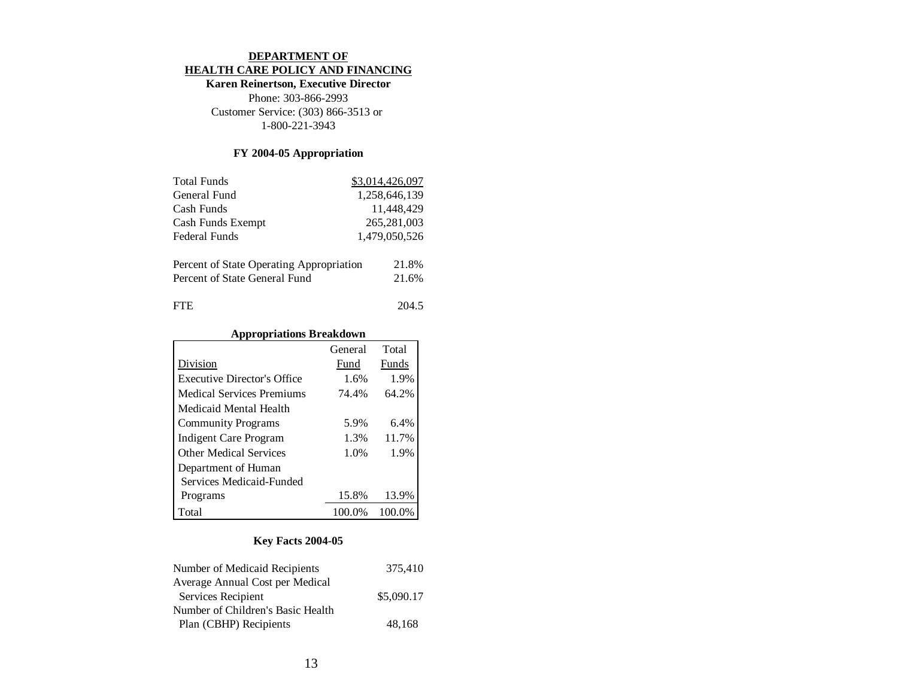#### **DEPARTMENT OF HEALTH CARE POLICY AND FINANCING**

## **Karen Reinertson, Executive Director**

Phone: 303-866-2993 Customer Service: (303) 866-3513 or 1-800-221-3943

## **FY 2004-05 Appropriation**

| <b>Total Funds</b>                       | \$3,014,426,097 |
|------------------------------------------|-----------------|
| General Fund                             | 1.258.646.139   |
| Cash Funds                               | 11,448,429      |
| Cash Funds Exempt                        | 265,281,003     |
| Federal Funds                            | 1,479,050,526   |
| Percent of State Operating Appropriation | 21.8%           |
| Percent of State General Fund            | 21.6%           |
| <b>FTE</b>                               | 204.5           |

#### **Appropriations Breakdown**

|                                    | General | Total  |
|------------------------------------|---------|--------|
| Division                           | Fund    | Funds  |
| <b>Executive Director's Office</b> | 1.6%    | 1.9%   |
| Medical Services Premiums          | 74.4%   | 64.2%  |
| Medicaid Mental Health             |         |        |
| <b>Community Programs</b>          | 5.9%    | 6.4%   |
| Indigent Care Program              | 1.3%    | 11.7%  |
| <b>Other Medical Services</b>      | 1.0%    | 1.9%   |
| Department of Human                |         |        |
| Services Medicaid-Funded           |         |        |
| Programs                           | 15.8%   | 13.9%  |
| Total                              | 100.0%  | 100.0% |

| Number of Medicaid Recipients     | 375,410    |
|-----------------------------------|------------|
| Average Annual Cost per Medical   |            |
| Services Recipient                | \$5,090.17 |
| Number of Children's Basic Health |            |
| Plan (CBHP) Recipients            | 48,168     |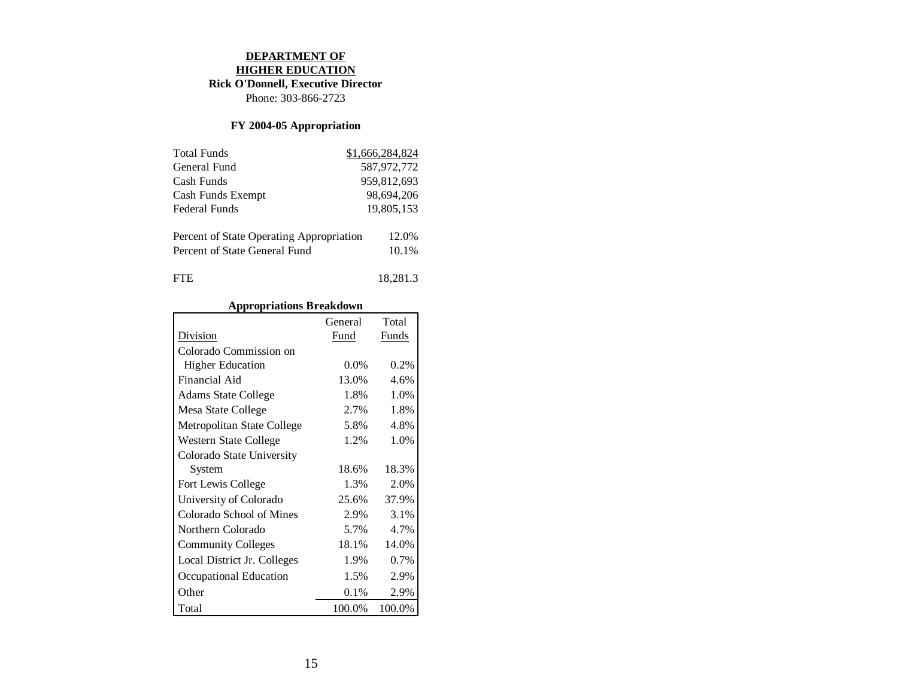#### **DEPARTMENT OF HIGHER EDUCATION**

# **Rick O'Donnell, Executive Director**

Phone: 303-866-2723

# **FY 2004-05 Appropriation**

| <b>Total Funds</b>                       | \$1,666,284,824 |
|------------------------------------------|-----------------|
| General Fund                             | 587,972,772     |
| Cash Funds                               | 959,812,693     |
| Cash Funds Exempt                        | 98,694,206      |
| Federal Funds                            | 19,805,153      |
|                                          |                 |
| Percent of State Operating Appropriation | 12.0%           |
| Percent of State General Fund            | 10.1%           |
|                                          |                 |
| FTE.                                     | 18.281.3        |

## **Appropriations Breakdown**

|                             | General | Total   |
|-----------------------------|---------|---------|
| Division                    | Fund    | Funds   |
| Colorado Commission on      |         |         |
| <b>Higher Education</b>     | $0.0\%$ | 0.2%    |
| Financial Aid               | 13.0%   | 4.6%    |
| <b>Adams State College</b>  | 1.8%    | 1.0%    |
| Mesa State College          | 2.7%    | 1.8%    |
| Metropolitan State College  | 5.8%    | 4.8%    |
| Western State College       | 1.2%    | 1.0%    |
| Colorado State University   |         |         |
| System                      | 18.6%   | 18.3%   |
| Fort Lewis College          | 1.3%    | 2.0%    |
| University of Colorado      | 25.6%   | 37.9%   |
| Colorado School of Mines    | 2.9%    | 3.1%    |
| Northern Colorado           | 5.7%    | 4.7%    |
| <b>Community Colleges</b>   | 18.1%   | 14.0%   |
| Local District Jr. Colleges | 1.9%    | $0.7\%$ |
| Occupational Education      | 1.5%    | 2.9%    |
| Other                       | 0.1%    | 2.9%    |
| Total                       | 100.0%  | 100.0%  |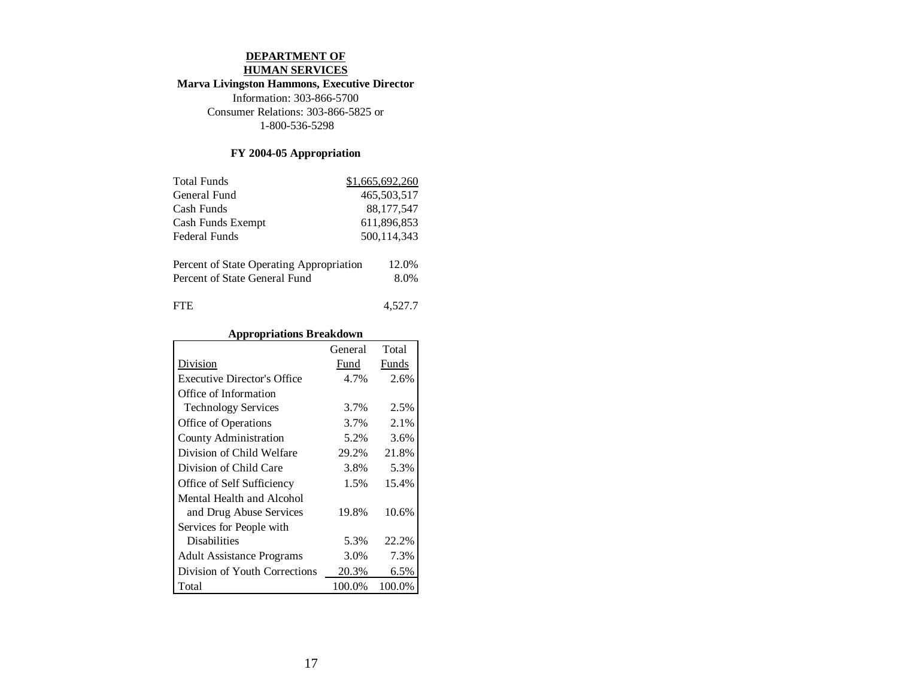# **DEPARTMENT OF HUMAN SERVICES**

# **Marva Livingston Hammons, Executive Director**

Information: 303-866-5700 Consumer Relations: 303-866-5825 or 1-800-536-5298

# **FY 2004-05 Appropriation**

| <b>Total Funds</b>                       | \$1,665,692,260 |
|------------------------------------------|-----------------|
| General Fund                             | 465,503,517     |
| Cash Funds                               | 88, 177, 547    |
| Cash Funds Exempt                        | 611,896,853     |
| Federal Funds                            | 500, 114, 343   |
|                                          |                 |
| Percent of State Operating Appropriation | 12.0%           |
| Percent of State General Fund            | 8.0%            |
|                                          |                 |
| FTE.                                     | 4.527.7         |

# **Appropriations Breakdown**

|                                    | General | Total  |
|------------------------------------|---------|--------|
| Division                           | Fund    | Funds  |
| <b>Executive Director's Office</b> | 4.7%    | 2.6%   |
| Office of Information              |         |        |
| <b>Technology Services</b>         | 3.7%    | 2.5%   |
| Office of Operations               | 3.7%    | 2.1%   |
| County Administration              | 5.2%    | 3.6%   |
| Division of Child Welfare          | 29.2%   | 21.8%  |
| Division of Child Care             | 3.8%    | 5.3%   |
| Office of Self Sufficiency         | 1.5%    | 15.4%  |
| Mental Health and Alcohol          |         |        |
| and Drug Abuse Services            | 19.8%   | 10.6%  |
| Services for People with           |         |        |
| <b>Disabilities</b>                | 5.3%    | 22.2%  |
| <b>Adult Assistance Programs</b>   | 3.0%    | 7.3%   |
| Division of Youth Corrections      | 20.3%   | 6.5%   |
| Total                              | 100.0%  | 100.0% |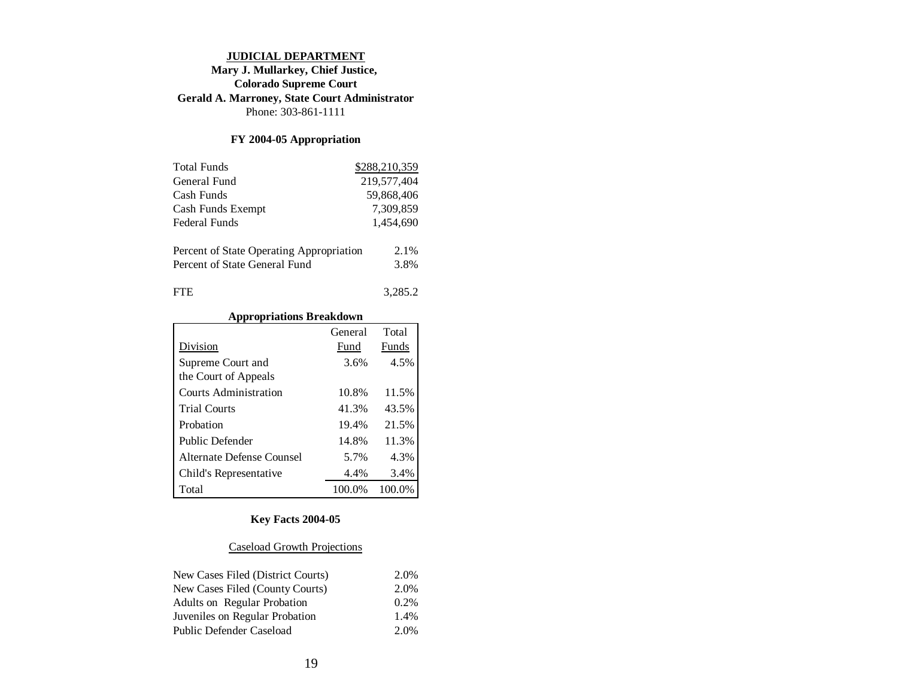#### **JUDICIAL DEPARTMENT**

## **Mary J. Mullarkey, Chief Justice, Colorado Supreme Court Gerald A. Marroney, State Court Administrator** Phone: 303-861-1111

## **FY 2004-05 Appropriation**

| <b>Total Funds</b>                                                        | \$288,210,359 |
|---------------------------------------------------------------------------|---------------|
| General Fund                                                              | 219,577,404   |
| Cash Funds                                                                | 59,868,406    |
| Cash Funds Exempt                                                         | 7,309,859     |
| Federal Funds                                                             | 1,454,690     |
| Percent of State Operating Appropriation<br>Percent of State General Fund | 2.1%<br>3.8%  |
| ľН.                                                                       | 3,285.2       |

# **Appropriations Breakdown**

|                           | General | Total  |
|---------------------------|---------|--------|
| Division                  | Fund    | Funds  |
| Supreme Court and         | 3.6%    | 4.5%   |
| the Court of Appeals      |         |        |
| Courts Administration     | 10.8%   | 11.5%  |
| <b>Trial Courts</b>       | 41.3%   | 43.5%  |
| Probation                 | 19.4%   | 21.5%  |
| Public Defender           | 14.8%   | 11.3%  |
| Alternate Defense Counsel | 5.7%    | 4.3%   |
| Child's Representative    | 4.4%    | 3.4%   |
| Total                     | 100.0%  | 100.0% |

# **Key Facts 2004-05**

## Caseload Growth Projections

| New Cases Filed (District Courts)  | 2.0%    |
|------------------------------------|---------|
| New Cases Filed (County Courts)    | 2.0%    |
| <b>Adults on Regular Probation</b> | $0.2\%$ |
| Juveniles on Regular Probation     | 1.4%    |
| Public Defender Caseload           | 2.0%    |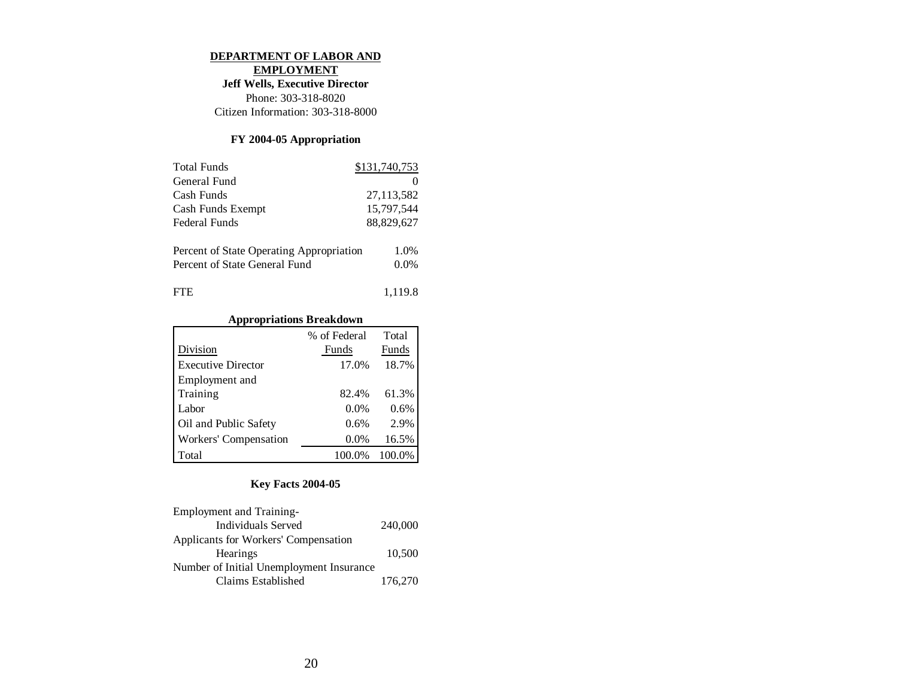#### **DEPARTMENT OF LABOR AND**

**EMPLOYMENT**

**Jeff Wells, Executive Director**

Phone: 303-318-8020 Citizen Information: 303-318-8000

## **FY 2004-05 Appropriation**

| <b>Total Funds</b>                                                        | \$131,740,753   |
|---------------------------------------------------------------------------|-----------------|
| General Fund                                                              |                 |
| Cash Funds                                                                | 27, 113, 582    |
| Cash Funds Exempt                                                         | 15,797,544      |
| Federal Funds                                                             | 88,829,627      |
| Percent of State Operating Appropriation<br>Percent of State General Fund | 1.0%<br>$0.0\%$ |
| Ή.                                                                        | 1,119.8         |

## **Appropriations Breakdown**

|                           | % of Federal | Total  |
|---------------------------|--------------|--------|
| Division                  | Funds        | Funds  |
| <b>Executive Director</b> | 17.0%        | 18.7%  |
| Employment and            |              |        |
| Training                  | 82.4%        | 61.3%  |
| Labor                     | 0.0%         | 0.6%   |
| Oil and Public Safety     | 0.6%         | 2.9%   |
| Workers' Compensation     | $0.0\%$      | 16.5%  |
| Total                     | 100.0%       | 100.0% |

| <b>Employment and Training-</b>          |         |
|------------------------------------------|---------|
| <b>Individuals Served</b>                | 240,000 |
| Applicants for Workers' Compensation     |         |
| <b>Hearings</b>                          | 10.500  |
| Number of Initial Unemployment Insurance |         |
| Claims Established                       | 176,270 |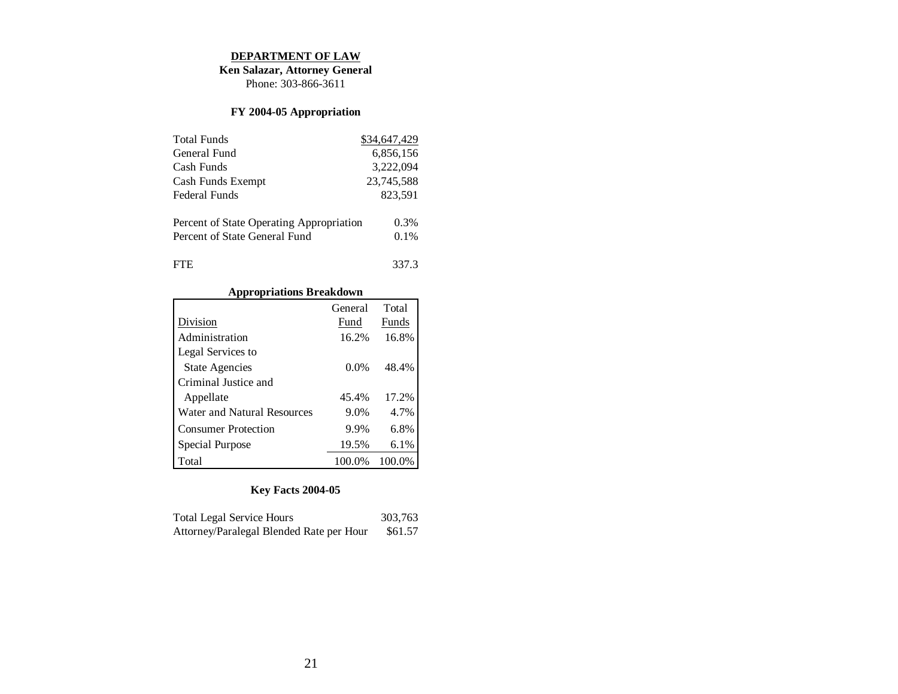#### **DEPARTMENT OF LAW**

**Ken Salazar, Attorney General**

Phone: 303-866-3611

# **FY 2004-05 Appropriation**

| <b>Total Funds</b>                       | \$34,647,429 |
|------------------------------------------|--------------|
| General Fund                             | 6,856,156    |
| Cash Funds                               | 3,222,094    |
| Cash Funds Exempt                        | 23,745,588   |
| Federal Funds                            | 823.591      |
| Percent of State Operating Appropriation | $0.3\%$      |
| Percent of State General Fund            | 0.1%         |
| <b>FTE</b>                               | 337.3        |

# **Appropriations Breakdown**

|                             | General | Total  |
|-----------------------------|---------|--------|
| Division                    | Fund    | Funds  |
| Administration              | 16.2%   | 16.8%  |
| Legal Services to           |         |        |
| <b>State Agencies</b>       | $0.0\%$ | 48.4%  |
| Criminal Justice and        |         |        |
| Appellate                   | 45.4%   | 17.2%  |
| Water and Natural Resources | 9.0%    | 4.7%   |
| <b>Consumer Protection</b>  | 9.9%    | 6.8%   |
| Special Purpose             | 19.5%   | 6.1%   |
| Total                       | 100.0%  | 100.0% |

| <b>Total Legal Service Hours</b>         | 303.763 |
|------------------------------------------|---------|
| Attorney/Paralegal Blended Rate per Hour | \$61.57 |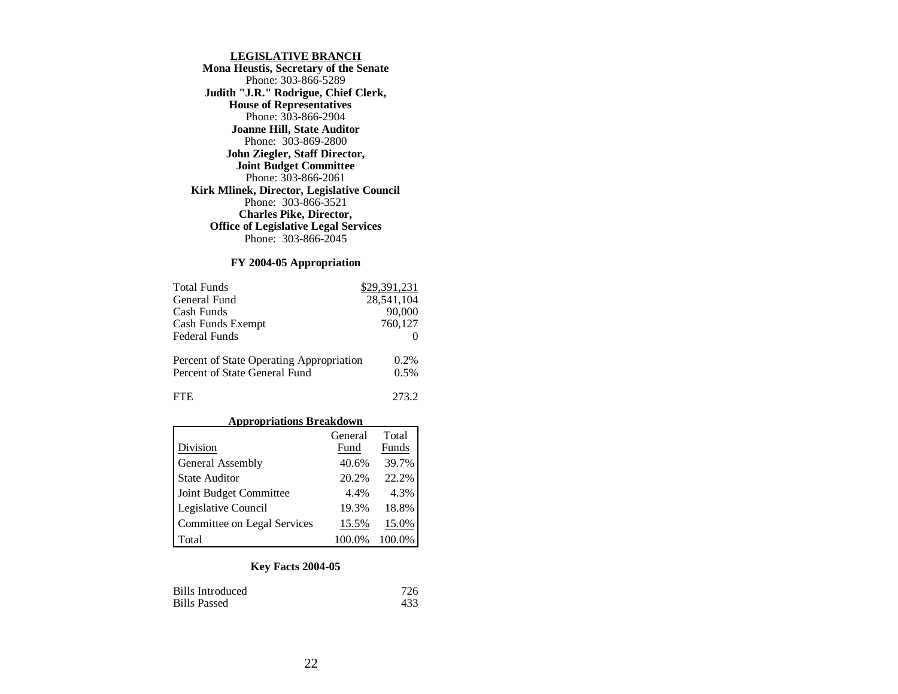#### **LEGISLATIVE BRANCH**

**Mona Heustis, Secretary of the Senate** Phone: 303-866-5289 **Judith "J.R." Rodrigue, Chief Clerk, House of Representatives** Phone: 303-866-2904 **Joanne Hill, State Auditor** Phone: 303-869-2800 **John Ziegler, Staff Director, Joint Budget Committee** Phone: 303-866-2061 **Kirk Mlinek, Director, Legislative Council** Phone: 303-866-3521 **Charles Pike, Director, Office of Legislative Legal Services** Phone: 303-866-2045

#### **FY 2004-05 Appropriation**

| <b>Total Funds</b>                                                        | \$29,391,231 |
|---------------------------------------------------------------------------|--------------|
| General Fund                                                              | 28,541,104   |
| Cash Funds                                                                | 90,000       |
| Cash Funds Exempt                                                         | 760,127      |
| <b>Federal Funds</b>                                                      |              |
| Percent of State Operating Appropriation<br>Percent of State General Fund | 0.2%<br>0.5% |
| FTE.                                                                      | 273.2        |

#### **Appropriations Breakdown**

|                             | General | Total  |
|-----------------------------|---------|--------|
| Division                    | Fund    | Funds  |
| General Assembly            | 40.6%   | 39.7%  |
| <b>State Auditor</b>        | 20.2%   | 22.2%  |
| Joint Budget Committee      | 4.4%    | 4.3%   |
| Legislative Council         | 19.3%   | 18.8%  |
| Committee on Legal Services | 15.5%   | 15.0%  |
| Total                       | 100.0%  | 100.0% |

| <b>Bills Introduced</b> | 726  |
|-------------------------|------|
| <b>Bills Passed</b>     | 433. |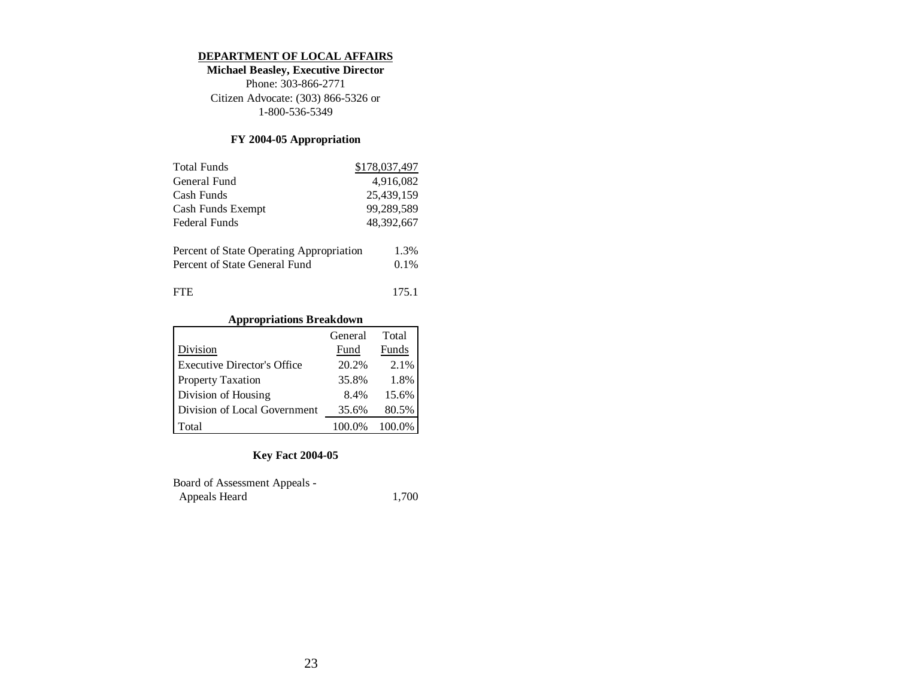#### **DEPARTMENT OF LOCAL AFFAIRS**

**Michael Beasley, Executive Director** Phone: 303-866-2771 Citizen Advocate: (303) 866-5326 or 1-800-536-5349

## **FY 2004-05 Appropriation**

| <b>Total Funds</b>                       | \$178,037,497 |
|------------------------------------------|---------------|
| General Fund                             | 4,916,082     |
| Cash Funds                               | 25,439,159    |
| Cash Funds Exempt                        | 99,289,589    |
| <b>Federal Funds</b>                     | 48,392,667    |
|                                          |               |
| Percent of State Operating Appropriation | 1.3%          |
| Percent of State General Fund            | 0.1%          |
|                                          |               |
| FIE                                      | 175.1         |

# **Appropriations Breakdown**

|                                    | General | Total  |
|------------------------------------|---------|--------|
| Division                           | Fund    | Funds  |
| <b>Executive Director's Office</b> | 20.2%   | 2.1%   |
| <b>Property Taxation</b>           | 35.8%   | 1.8%   |
| Division of Housing                | 8.4%    | 15.6%  |
| Division of Local Government       | 35.6%   | 80.5%  |
| Total                              | 100.0%  | 100.0% |

| <b>Board of Assessment Appeals -</b> |       |
|--------------------------------------|-------|
| Appeals Heard                        | 1,700 |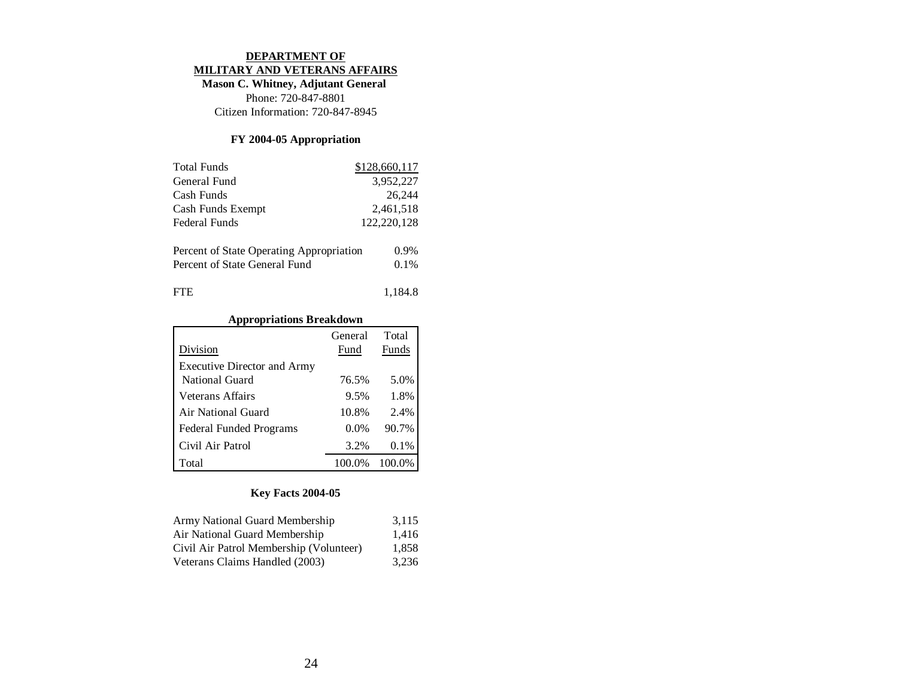#### **DEPARTMENT OF MILITARY AND VETERANS AFFAIRS**

**Mason C. Whitney, Adjutant General**  Phone: 720-847-8801

Citizen Information: 720-847-8945

## **FY 2004-05 Appropriation**

| <b>Total Funds</b>                                                        | \$128,660,117      |
|---------------------------------------------------------------------------|--------------------|
| General Fund                                                              | 3,952,227          |
| Cash Funds                                                                | 26.244             |
| Cash Funds Exempt                                                         | 2,461,518          |
| Federal Funds                                                             | 122,220,128        |
| Percent of State Operating Appropriation<br>Percent of State General Fund | $0.9\%$<br>$0.1\%$ |
| ΓH.                                                                       | 1,184.8            |

## **Appropriations Breakdown**

|                                    | General | Total  |
|------------------------------------|---------|--------|
| Division                           | Fund    | Funds  |
| <b>Executive Director and Army</b> |         |        |
| National Guard                     | 76.5%   | 5.0%   |
| Veterans Affairs                   | 9.5%    | 1.8%   |
| Air National Guard                 | 10.8%   | 2.4%   |
| <b>Federal Funded Programs</b>     | $0.0\%$ | 90.7%  |
| Civil Air Patrol                   | 3.2%    | 0.1%   |
| Total                              | 100.0%  | 100.0% |

| Army National Guard Membership          | 3,115 |
|-----------------------------------------|-------|
| Air National Guard Membership           | 1,416 |
| Civil Air Patrol Membership (Volunteer) | 1.858 |
| Veterans Claims Handled (2003)          | 3,236 |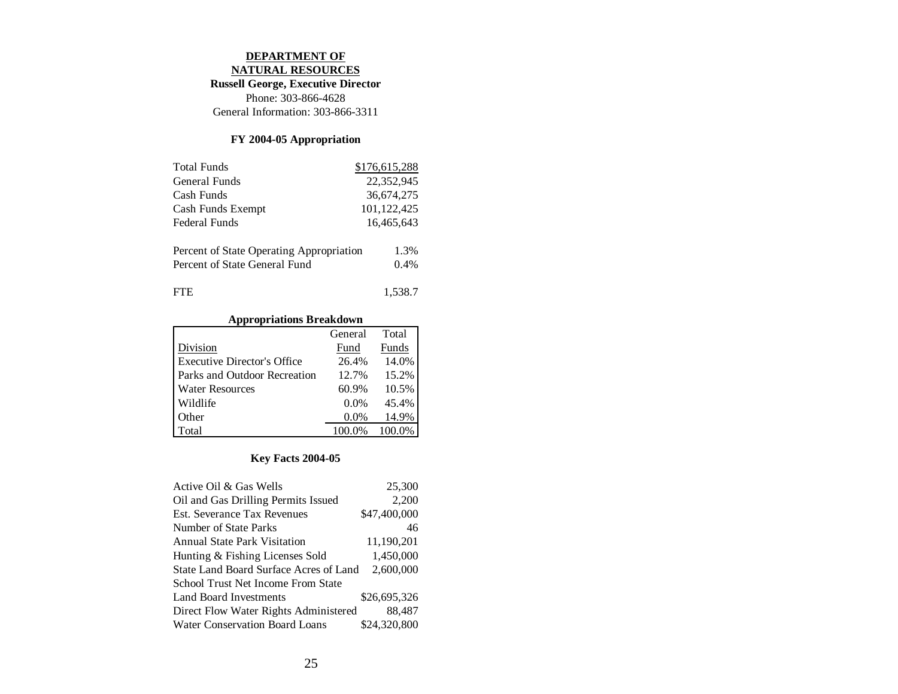## **DEPARTMENT OF**

**NATURAL RESOURCES**

**Russell George, Executive Director**

Phone: 303-866-4628 General Information: 303-866-3311

## **FY 2004-05 Appropriation**

| <b>Total Funds</b>                       | \$176,615,288 |
|------------------------------------------|---------------|
| General Funds                            | 22,352,945    |
| Cash Funds                               | 36,674,275    |
| Cash Funds Exempt                        | 101,122,425   |
| Federal Funds                            | 16,465,643    |
|                                          |               |
| Percent of State Operating Appropriation | 1.3%          |
| Percent of State General Fund            | 0.4%          |
|                                          |               |
| ΓH.                                      | 1,538.7       |

## **Appropriations Breakdown**

|                                     | General | Total  |
|-------------------------------------|---------|--------|
| Division                            | Fund    | Funds  |
| <b>Executive Director's Office</b>  | 26.4%   | 14.0%  |
| <b>Parks and Outdoor Recreation</b> | 12.7%   | 15.2%  |
| <b>Water Resources</b>              | 60.9%   | 10.5%  |
| Wildlife                            | $0.0\%$ | 45.4%  |
| Other                               | $0.0\%$ | 14.9%  |
| Total                               | 100.0%  | 100.0% |

| Active Oil & Gas Wells                 | 25,300       |
|----------------------------------------|--------------|
| Oil and Gas Drilling Permits Issued    | 2,200        |
| Est. Severance Tax Revenues            | \$47,400,000 |
| Number of State Parks                  | 46           |
| <b>Annual State Park Visitation</b>    | 11,190,201   |
| Hunting & Fishing Licenses Sold        | 1,450,000    |
| State Land Board Surface Acres of Land | 2.600,000    |
| School Trust Net Income From State     |              |
| Land Board Investments                 | \$26,695,326 |
| Direct Flow Water Rights Administered  | 88.487       |
| Water Conservation Board Loans         | \$24,320,800 |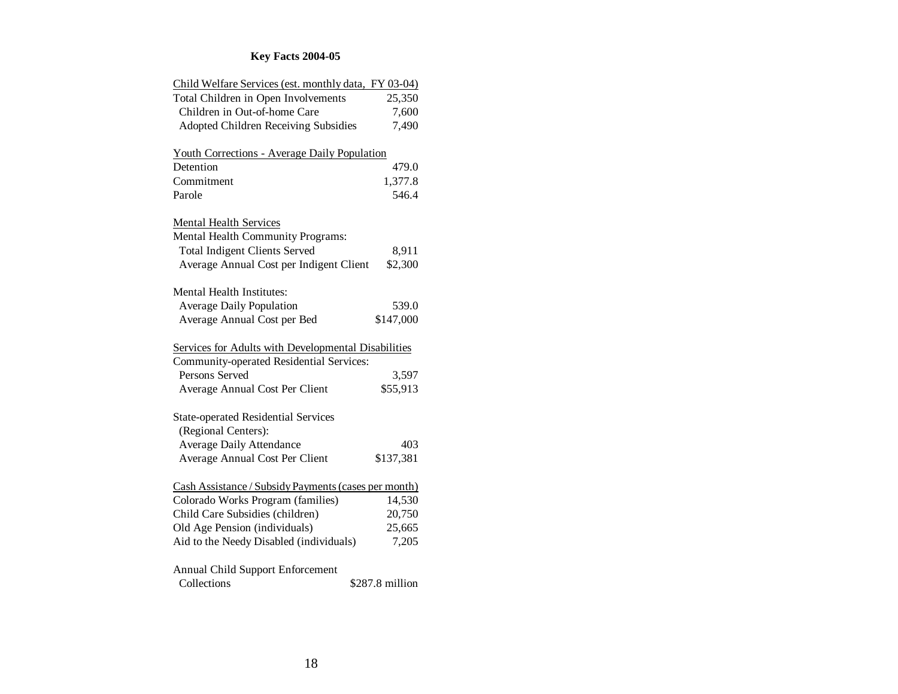| Child Welfare Services (est. monthly data, FY 03-04) |                 |
|------------------------------------------------------|-----------------|
| Total Children in Open Involvements                  | 25,350          |
| Children in Out-of-home Care                         | 7,600           |
| <b>Adopted Children Receiving Subsidies</b>          | 7,490           |
| <b>Youth Corrections - Average Daily Population</b>  |                 |
| Detention                                            | 479.0           |
| Commitment                                           | 1,377.8         |
| Parole                                               | 546.4           |
| <b>Mental Health Services</b>                        |                 |
| Mental Health Community Programs:                    |                 |
| <b>Total Indigent Clients Served</b>                 | 8,911           |
| Average Annual Cost per Indigent Client              | \$2,300         |
| <b>Mental Health Institutes:</b>                     |                 |
| <b>Average Daily Population</b>                      | 539.0           |
| Average Annual Cost per Bed                          | \$147,000       |
|                                                      |                 |
| Services for Adults with Developmental Disabilities  |                 |
| Community-operated Residential Services:             |                 |
| Persons Served                                       | 3,597           |
| Average Annual Cost Per Client                       | \$55,913        |
| <b>State-operated Residential Services</b>           |                 |
| (Regional Centers):                                  |                 |
| <b>Average Daily Attendance</b>                      | 403             |
| Average Annual Cost Per Client                       | \$137,381       |
| Cash Assistance / Subsidy Payments (cases per month) |                 |
| Colorado Works Program (families)                    | 14,530          |
| Child Care Subsidies (children)                      | 20,750          |
| Old Age Pension (individuals)                        | 25,665          |
| Aid to the Needy Disabled (individuals)              | 7,205           |
| Annual Child Support Enforcement<br>Collections      | \$287.8 million |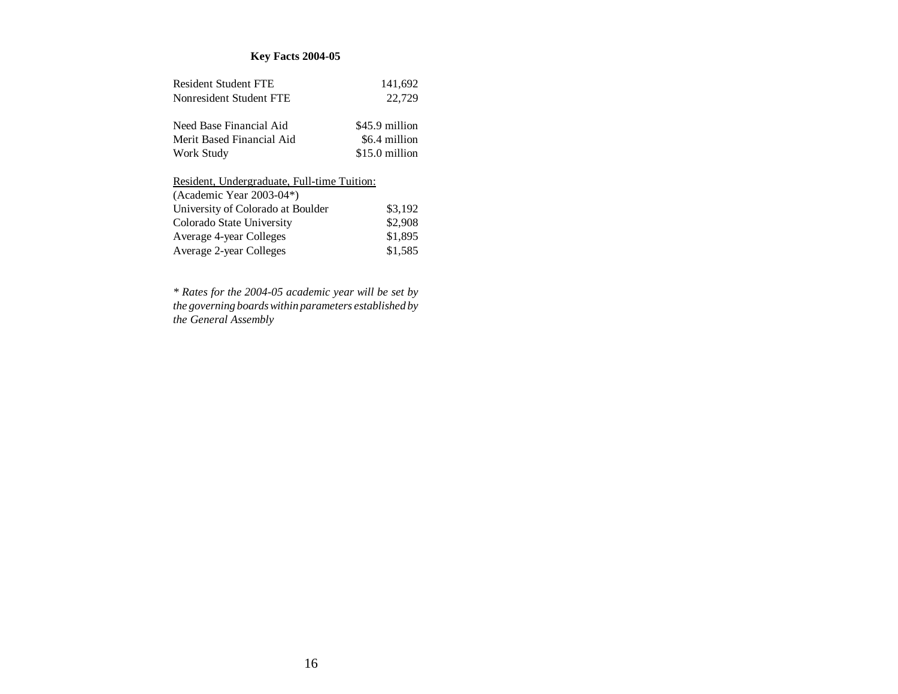# **Key Facts 2004-05**

| Resident Student FTE                        | 141,692        |
|---------------------------------------------|----------------|
| Nonresident Student FTE                     | 22,729         |
|                                             |                |
| Need Base Financial Aid                     | \$45.9 million |
| Merit Based Financial Aid                   | \$6.4 million  |
| Work Study                                  | \$15.0 million |
|                                             |                |
| Resident, Undergraduate, Full-time Tuition: |                |
| (Academic Year $2003-04$ <sup>*</sup> )     |                |
| University of Colorado at Boulder           | \$3.192        |
| Colorado State University                   | \$2,908        |
| Average 4-year Colleges                     | \$1,895        |
| Average 2-year Colleges                     | \$1.585        |

*\* Rates for the 2004-05 academic year will be set by the governing boards within parameters established by the General Assembly*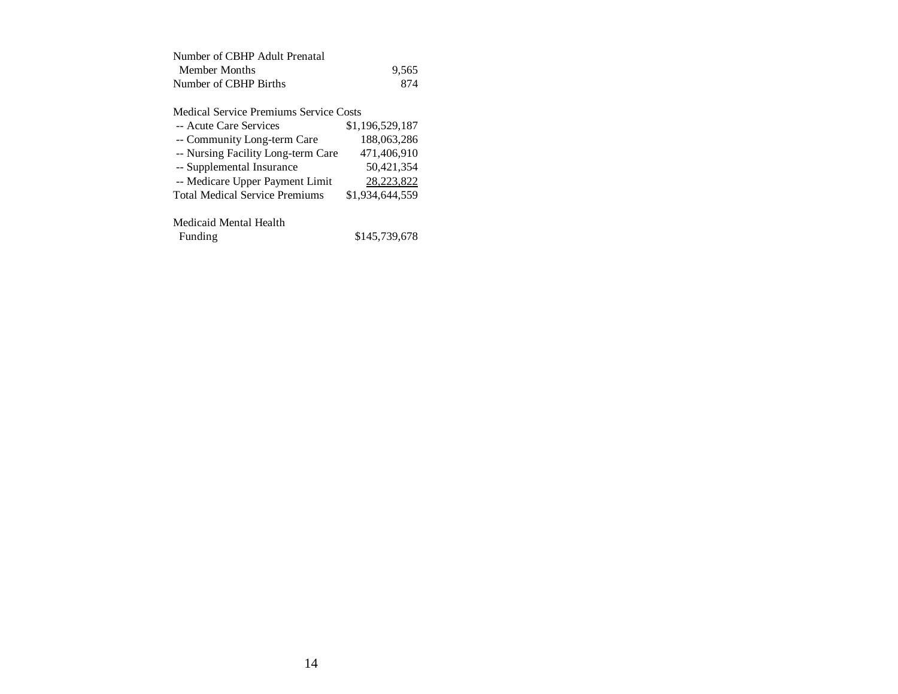| Number of CBHP Adult Prenatal |       |
|-------------------------------|-------|
| Member Months                 | 9.565 |
| Number of CBHP Births         | 874   |

Medical Service Premiums Service Costs

| -- Acute Care Services                | \$1,196,529,187 |
|---------------------------------------|-----------------|
| -- Community Long-term Care           | 188,063,286     |
| -- Nursing Facility Long-term Care    | 471,406,910     |
| -- Supplemental Insurance             | 50,421,354      |
| -- Medicare Upper Payment Limit       | 28,223,822      |
| <b>Total Medical Service Premiums</b> | \$1,934,644,559 |
|                                       |                 |
| Medicaid Mental Health                |                 |

| Funding | \$145,739,678 |
|---------|---------------|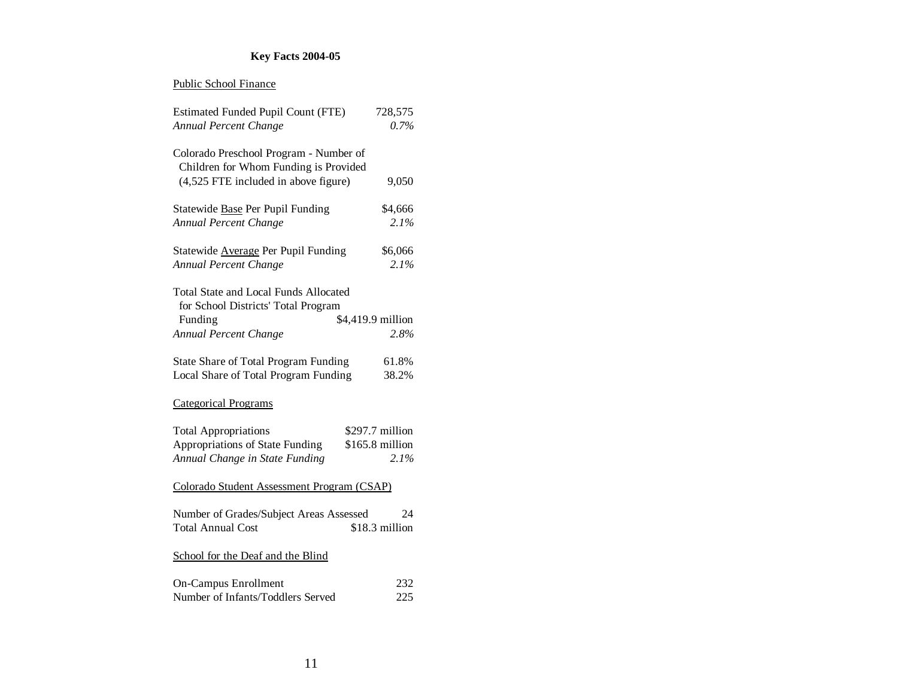# **Key Facts 2004-05**

#### Public School Finance

| <b>Estimated Funded Pupil Count (FTE)</b>                                           | 728,575           |
|-------------------------------------------------------------------------------------|-------------------|
| Annual Percent Change                                                               | $0.7\%$           |
| Colorado Preschool Program - Number of<br>Children for Whom Funding is Provided     |                   |
| (4,525 FTE included in above figure)                                                | 9,050             |
| Statewide Base Per Pupil Funding                                                    | \$4,666           |
| Annual Percent Change                                                               | 2.1%              |
| Statewide Average Per Pupil Funding                                                 | \$6,066           |
| Annual Percent Change                                                               | $2.1\%$           |
| <b>Total State and Local Funds Allocated</b><br>for School Districts' Total Program |                   |
| Funding                                                                             | \$4,419.9 million |
| Annual Percent Change                                                               | 2.8%              |
| State Share of Total Program Funding                                                | 61.8%             |
| Local Share of Total Program Funding                                                | 38.2%             |
| <b>Categorical Programs</b>                                                         |                   |
| <b>Total Appropriations</b>                                                         | \$297.7 million   |
| Appropriations of State Funding                                                     | \$165.8 million   |
| Annual Change in State Funding                                                      | 2.1%              |
| Colorado Student Assessment Program (CSAP)                                          |                   |
| Number of Grades/Subject Areas Assessed                                             | 24                |
| <b>Total Annual Cost</b>                                                            | \$18.3 million    |
| School for the Deaf and the Blind                                                   |                   |
| <b>On-Campus Enrollment</b>                                                         | 232               |
| Number of Infants/Toddlers Served                                                   | 225               |
|                                                                                     |                   |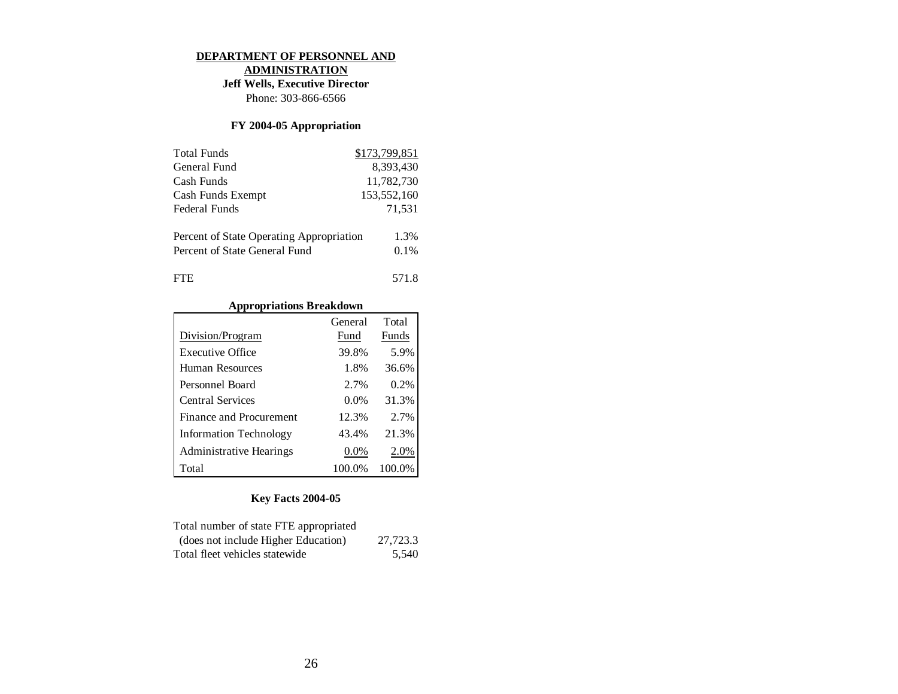#### **DEPARTMENT OF PERSONNEL AND**

**ADMINISTRATION**

**Jeff Wells, Executive Director**

Phone: 303-866-6566

## **FY 2004-05 Appropriation**

| <b>Total Funds</b>                       | \$173,799,851 |
|------------------------------------------|---------------|
| General Fund                             | 8.393.430     |
| Cash Funds                               | 11,782,730    |
| Cash Funds Exempt                        | 153,552,160   |
| Federal Funds                            | 71,531        |
|                                          |               |
| Percent of State Operating Appropriation | 1.3%          |
| Percent of State General Fund            | 0.1%          |
|                                          |               |
| FTE.                                     | 571.8         |

## **Appropriations Breakdown**

|                                | General | Total  |
|--------------------------------|---------|--------|
| Division/Program               | Fund    | Funds  |
| Executive Office               | 39.8%   | 5.9%   |
| Human Resources                | 1.8%    | 36.6%  |
| Personnel Board                | 2.7%    | 0.2%   |
| Central Services               | $0.0\%$ | 31.3%  |
| Finance and Procurement        | 12.3%   | 2.7%   |
| <b>Information Technology</b>  | 43.4%   | 21.3%  |
| <b>Administrative Hearings</b> | $0.0\%$ | 2.0%   |
| Total                          | 100.0%  | 100.0% |

| Total number of state FTE appropriated |          |
|----------------------------------------|----------|
| (does not include Higher Education)    | 27,723.3 |
| Total fleet vehicles statewide         | 5.540    |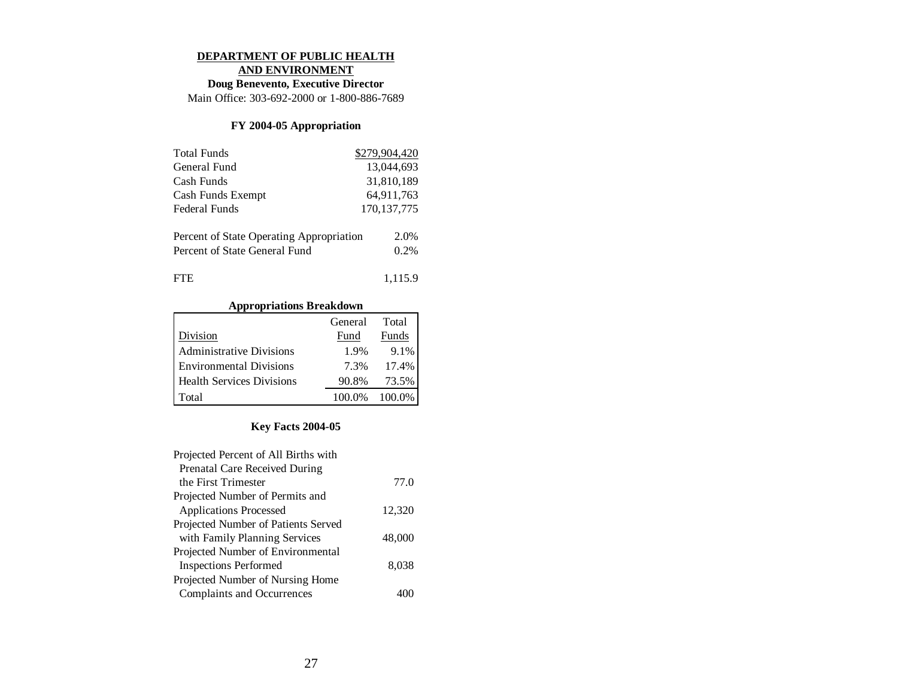#### **DEPARTMENT OF PUBLIC HEALTH**

**AND ENVIRONMENT**

**Doug Benevento, Executive Director**

Main Office: 303-692-2000 or 1-800-886-7689

## **FY 2004-05 Appropriation**

| <b>Total Funds</b>                       | \$279,904,420 |
|------------------------------------------|---------------|
| General Fund                             | 13,044,693    |
| Cash Funds                               | 31,810,189    |
| Cash Funds Exempt                        | 64,911,763    |
| Federal Funds                            | 170, 137, 775 |
|                                          |               |
| Percent of State Operating Appropriation | 2.0%          |
| Percent of State General Fund            | $0.2\%$       |
|                                          |               |
| FTE.                                     | 1.115.9       |

**Appropriations Breakdown**

|                                  | General | Total  |
|----------------------------------|---------|--------|
| Division                         | Fund    | Funds  |
| Administrative Divisions         | 1.9%    | 9.1%   |
| <b>Environmental Divisions</b>   | 7.3%    | 17.4%  |
| <b>Health Services Divisions</b> | 90.8%   | 73.5%  |
| Total                            | 100.0%  | 100.0% |

| Projected Percent of All Births with |        |
|--------------------------------------|--------|
| Prenatal Care Received During        |        |
| the First Trimester                  | 77.0   |
| Projected Number of Permits and      |        |
| <b>Applications Processed</b>        | 12.320 |
| Projected Number of Patients Served  |        |
| with Family Planning Services        | 48,000 |
| Projected Number of Environmental    |        |
| <b>Inspections Performed</b>         | 8,038  |
| Projected Number of Nursing Home     |        |
| Complaints and Occurrences           |        |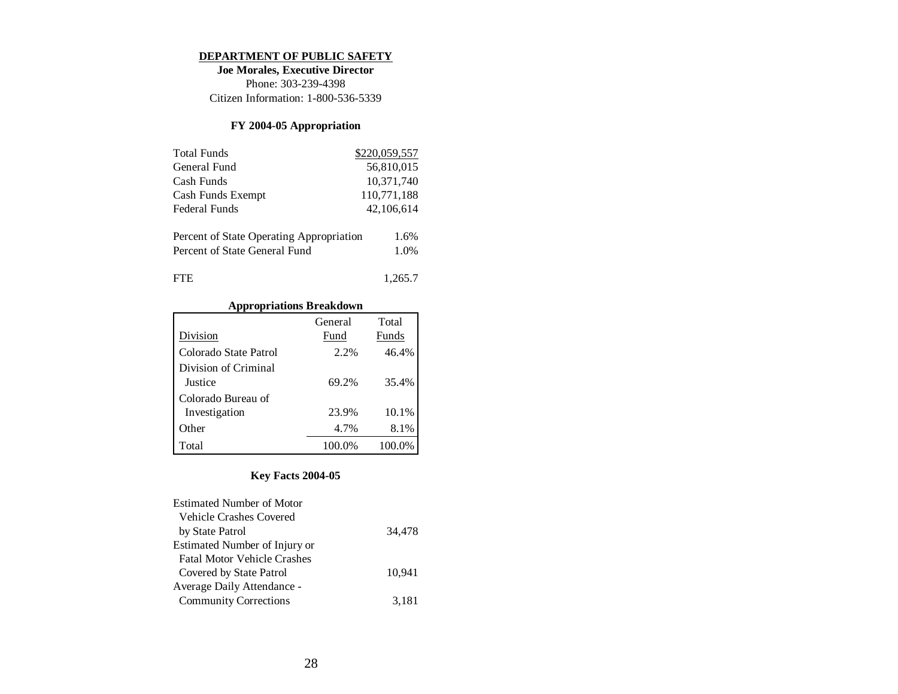#### **DEPARTMENT OF PUBLIC SAFETY**

**Joe Morales, Executive Director** Phone: 303-239-4398 Citizen Information: 1-800-536-5339

## **FY 2004-05 Appropriation**

| <b>Total Funds</b>                       | \$220,059,557 |
|------------------------------------------|---------------|
| General Fund                             | 56,810,015    |
| Cash Funds                               | 10,371,740    |
| Cash Funds Exempt                        | 110,771,188   |
| <b>Federal Funds</b>                     | 42,106,614    |
|                                          | 1.6%          |
| Percent of State Operating Appropriation |               |
| Percent of State General Fund            | 1.0%          |

| FTE | 1,265.7 |
|-----|---------|
|-----|---------|

# **Appropriations Breakdown**

|                       | General | Total  |
|-----------------------|---------|--------|
| Division              | Fund    | Funds  |
| Colorado State Patrol | 2.2%    | 46.4%  |
| Division of Criminal  |         |        |
| Justice               | 69.2%   | 35.4%  |
| Colorado Bureau of    |         |        |
| Investigation         | 23.9%   | 10.1%  |
| Other                 | 4.7%    | 8.1%   |
| Total                 | 100.0%  | 100.0% |

| <b>Estimated Number of Motor</b>   |        |
|------------------------------------|--------|
| <b>Vehicle Crashes Covered</b>     |        |
| by State Patrol                    | 34.478 |
| Estimated Number of Injury or      |        |
| <b>Fatal Motor Vehicle Crashes</b> |        |
| Covered by State Patrol            | 10.941 |
| Average Daily Attendance -         |        |
| <b>Community Corrections</b>       | 3.181  |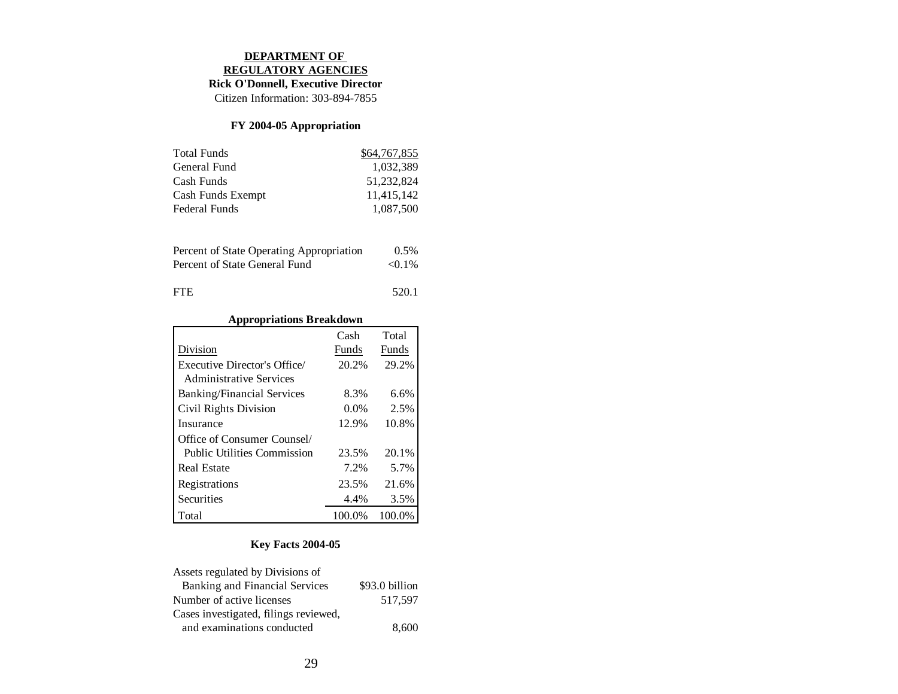#### **DEPARTMENT OF REGULATORY AGENCIES**

# **Rick O'Donnell, Executive Director**

Citizen Information: 303-894-7855

## **FY 2004-05 Appropriation**

| <b>Total Funds</b> | \$64,767,855 |
|--------------------|--------------|
| General Fund       | 1.032.389    |
| Cash Funds         | 51.232.824   |
| Cash Funds Exempt  | 11,415,142   |
| Federal Funds      | 1.087.500    |

| Percent of State Operating Appropriation | $0.5\%$   |
|------------------------------------------|-----------|
| Percent of State General Fund            | $< 0.1\%$ |
|                                          |           |

| FTE | 520.1 |
|-----|-------|
|     |       |

# **Appropriations Breakdown**

|                                    | Cash   | Total  |
|------------------------------------|--------|--------|
| Division                           | Funds  | Funds  |
| Executive Director's Office/       | 20.2%  | 29.2%  |
| <b>Administrative Services</b>     |        |        |
| <b>Banking/Financial Services</b>  | 8.3%   | 6.6%   |
| Civil Rights Division              | 0.0%   | 2.5%   |
| Insurance                          | 12.9%  | 10.8%  |
| Office of Consumer Counsel/        |        |        |
| <b>Public Utilities Commission</b> | 23.5%  | 20.1%  |
| <b>Real Estate</b>                 | 7.2%   | 5.7%   |
| Registrations                      | 23.5%  | 21.6%  |
| Securities                         | 4.4%   | 3.5%   |
| Total                              | 100.0% | 100.0% |

| Assets regulated by Divisions of      |                |
|---------------------------------------|----------------|
| Banking and Financial Services        | \$93.0 billion |
| Number of active licenses             | 517.597        |
| Cases investigated, filings reviewed, |                |
| and examinations conducted            | 8,600          |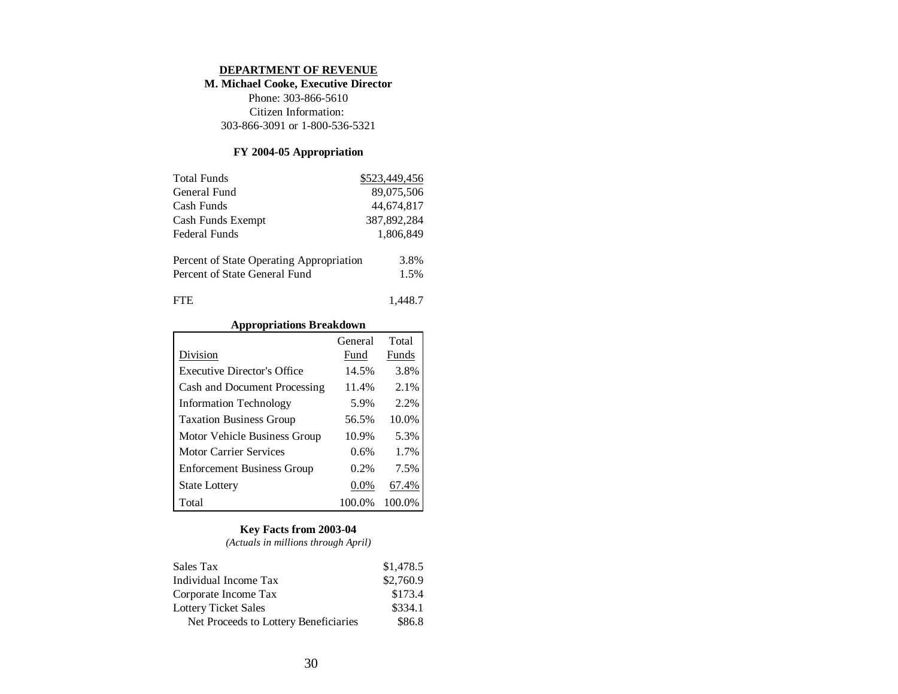#### **DEPARTMENT OF REVENUE**

## **M. Michael Cooke, Executive Director**

Phone: 303-866-5610 Citizen Information: 303-866-3091 or 1-800-536-5321

## **FY 2004-05 Appropriation**

| <b>Total Funds</b>                       | \$523,449,456 |
|------------------------------------------|---------------|
| General Fund                             | 89,075,506    |
| Cash Funds                               | 44,674,817    |
| Cash Funds Exempt                        | 387,892,284   |
| Federal Funds                            | 1.806.849     |
| Percent of State Operating Appropriation | 3.8%          |
| Percent of State General Fund            | 1.5%          |
| ΓH.                                      | 1.448.7       |

## **Appropriations Breakdown**

|                                   | General | Total   |
|-----------------------------------|---------|---------|
| Division                          | Fund    | Funds   |
| Executive Director's Office       | 14.5%   | 3.8%    |
| Cash and Document Processing      | 11.4%   | 2.1%    |
| <b>Information Technology</b>     | 5.9%    | $2.2\%$ |
| <b>Taxation Business Group</b>    | 56.5%   | 10.0%   |
| Motor Vehicle Business Group      | 10.9%   | 5.3%    |
| Motor Carrier Services            | 0.6%    | 1.7%    |
| <b>Enforcement Business Group</b> | 0.2%    | 7.5%    |
| <b>State Lottery</b>              | $0.0\%$ | 67.4%   |
| Total                             | 100.0%  | 100.0%  |

#### **Key Facts from 2003-04**

*(Actuals in millions through April)*

| Sales Tax                             | \$1,478.5 |
|---------------------------------------|-----------|
| Individual Income Tax                 | \$2,760.9 |
| Corporate Income Tax                  | \$173.4   |
| <b>Lottery Ticket Sales</b>           | \$334.1   |
| Net Proceeds to Lottery Beneficiaries | \$86.8    |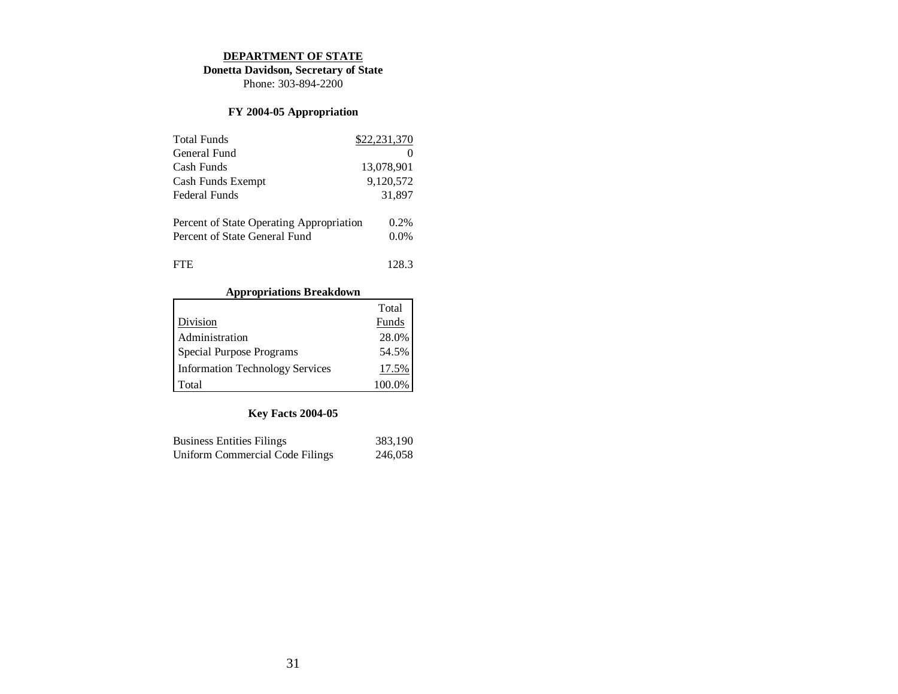#### **DEPARTMENT OF STATE**

**Donetta Davidson, Secretary of State**

Phone: 303-894-2200

# **FY 2004-05 Appropriation**

| <b>Total Funds</b>                       | \$22,231,370 |
|------------------------------------------|--------------|
| General Fund                             |              |
| Cash Funds                               | 13,078,901   |
| Cash Funds Exempt                        | 9,120,572    |
| Federal Funds                            | 31,897       |
| Percent of State Operating Appropriation | $0.2\%$      |
| Percent of State General Fund            | $0.0\%$      |
| FTE.                                     | 128.3        |

## **Appropriations Breakdown**

|                                        | Total  |
|----------------------------------------|--------|
| Division                               | Funds  |
| Administration                         | 28.0%  |
| Special Purpose Programs               | 54.5%  |
| <b>Information Technology Services</b> | 17.5%  |
| Total                                  | 100.0% |

| <b>Business Entities Filings</b> | 383,190 |
|----------------------------------|---------|
| Uniform Commercial Code Filings  | 246,058 |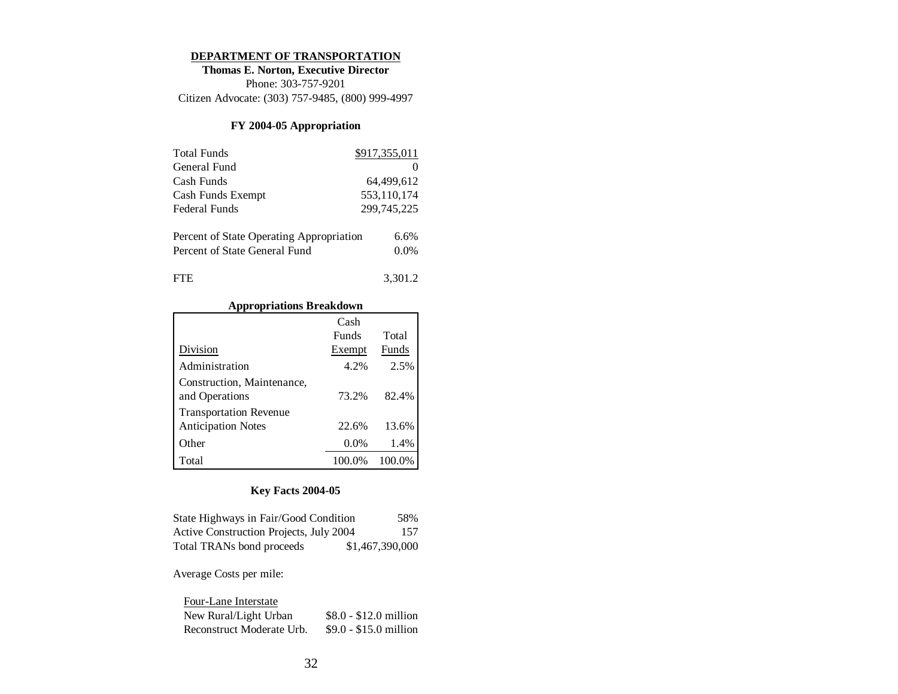#### **DEPARTMENT OF TRANSPORTATION**

**Thomas E. Norton, Executive Director** Phone: 303-757-9201 Citizen Advocate: (303) 757-9485, (800) 999-4997

## **FY 2004-05 Appropriation**

| <b>Total Funds</b>                       | \$917,355,011 |
|------------------------------------------|---------------|
| General Fund                             |               |
| Cash Funds                               | 64.499.612    |
| Cash Funds Exempt                        | 553,110,174   |
| Federal Funds                            | 299,745,225   |
| Percent of State Operating Appropriation | 6.6%          |
| Percent of State General Fund            | $0.0\%$       |
|                                          |               |

| FTE | 3,301.2 |
|-----|---------|
|     |         |

# **Appropriations Breakdown**

|                               | Cash         |        |
|-------------------------------|--------------|--------|
|                               | <b>Funds</b> | Total  |
| Division                      | Exempt       | Funds  |
| Administration                | 4.2%         | 2.5%   |
| Construction, Maintenance,    |              |        |
| and Operations                | 73.2%        | 82.4%  |
| <b>Transportation Revenue</b> |              |        |
| <b>Anticipation Notes</b>     | 22.6%        | 13.6%  |
| Other                         | $0.0\%$      | 1.4%   |
| Total                         | 100.0%       | 100.0% |

# **Key Facts 2004-05**

| State Highways in Fair/Good Condition   | 58%             |
|-----------------------------------------|-----------------|
| Active Construction Projects, July 2004 | 157             |
| Total TRANs bond proceeds               | \$1,467,390,000 |

Average Costs per mile:

| Four-Lane Interstate      |                        |
|---------------------------|------------------------|
| New Rural/Light Urban     | $$8.0 - $12.0$ million |
| Reconstruct Moderate Urb. | $$9.0 - $15.0$ million |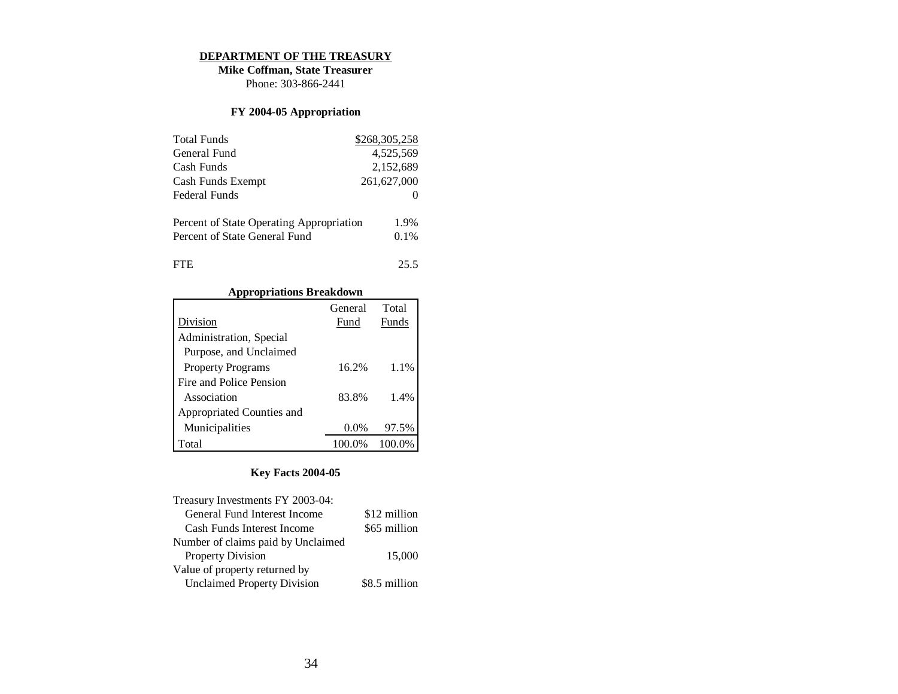#### **DEPARTMENT OF THE TREASURY**

**Mike Coffman, State Treasurer** Phone: 303-866-2441

# **FY 2004-05 Appropriation**

| <b>Total Funds</b>                       | \$268,305,258 |
|------------------------------------------|---------------|
| General Fund                             | 4,525,569     |
| Cash Funds                               | 2,152,689     |
| Cash Funds Exempt                        | 261,627,000   |
| Federal Funds                            |               |
| Percent of State Operating Appropriation | 1.9%          |
| Percent of State General Fund            | $0.1\%$       |
| FTE.                                     | 25.5          |

# **Appropriations Breakdown**

|                           | General | Total  |
|---------------------------|---------|--------|
| Division                  | Fund    | Funds  |
| Administration, Special   |         |        |
| Purpose, and Unclaimed    |         |        |
| <b>Property Programs</b>  | 16.2%   | 1.1%   |
| Fire and Police Pension   |         |        |
| Association               | 83.8%   | 1.4%   |
| Appropriated Counties and |         |        |
| Municipalities            | $0.0\%$ | 97.5%  |
| Total                     | 100.0%  | 100.0% |

| Treasury Investments FY 2003-04:   |               |
|------------------------------------|---------------|
| General Fund Interest Income       | \$12 million  |
| Cash Funds Interest Income         | \$65 million  |
| Number of claims paid by Unclaimed |               |
| <b>Property Division</b>           | 15,000        |
| Value of property returned by      |               |
| <b>Unclaimed Property Division</b> | \$8.5 million |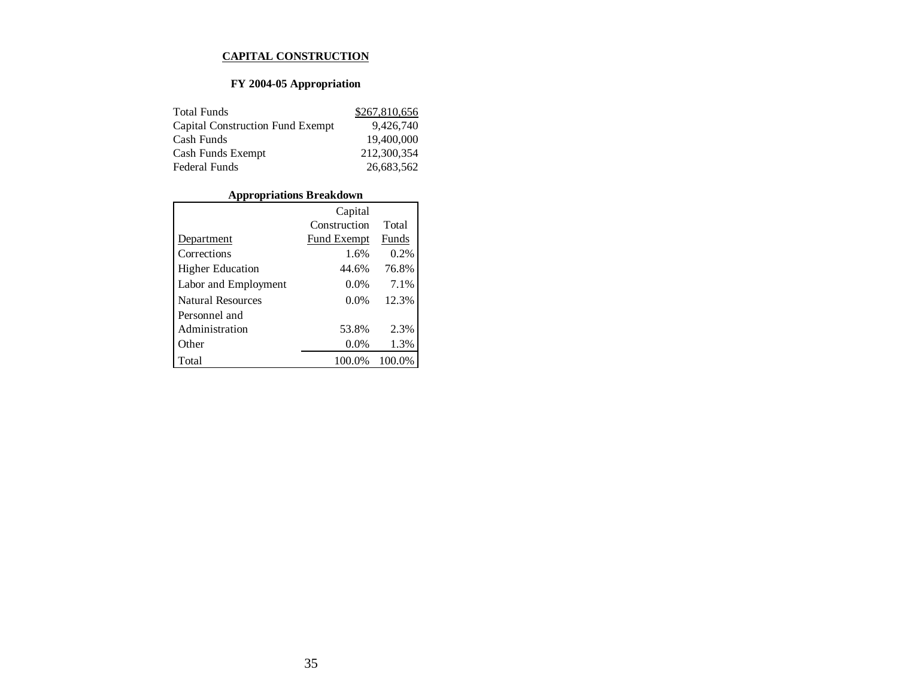#### **CAPITAL CONSTRUCTION**

# **FY 2004-05 Appropriation**

| <b>Total Funds</b>                      | \$267,810,656 |
|-----------------------------------------|---------------|
| <b>Capital Construction Fund Exempt</b> | 9.426.740     |
| Cash Funds                              | 19,400,000    |
| Cash Funds Exempt                       | 212,300,354   |
| <b>Federal Funds</b>                    | 26,683,562    |

# **Appropriations Breakdown**

|                          | Capital            |        |
|--------------------------|--------------------|--------|
|                          | Construction       | Total  |
| Department               | <b>Fund Exempt</b> | Funds  |
| Corrections              | 1.6%               | 0.2%   |
| <b>Higher Education</b>  | 44.6%              | 76.8%  |
| Labor and Employment     | 0.0%               | 7.1%   |
| <b>Natural Resources</b> | $0.0\%$            | 12.3%  |
| Personnel and            |                    |        |
| Administration           | 53.8%              | 2.3%   |
| Other                    | 0.0%               | 1.3%   |
| Total                    | 100.0%             | 100.0% |